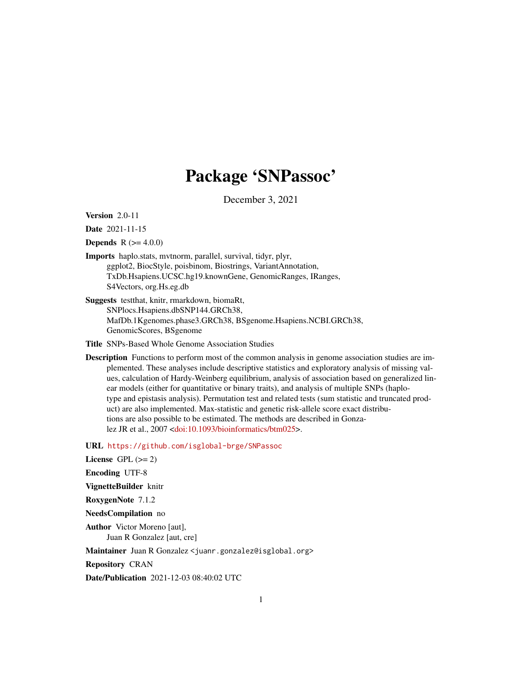# Package 'SNPassoc'

December 3, 2021

Version 2.0-11

Date 2021-11-15

**Depends**  $R$  ( $>= 4.0.0$ )

- Imports haplo.stats, mvtnorm, parallel, survival, tidyr, plyr, ggplot2, BiocStyle, poisbinom, Biostrings, VariantAnnotation, TxDb.Hsapiens.UCSC.hg19.knownGene, GenomicRanges, IRanges, S4Vectors, org.Hs.eg.db
- Suggests testthat, knitr, rmarkdown, biomaRt, SNPlocs.Hsapiens.dbSNP144.GRCh38, MafDb.1Kgenomes.phase3.GRCh38, BSgenome.Hsapiens.NCBI.GRCh38, GenomicScores, BSgenome
- Title SNPs-Based Whole Genome Association Studies
- Description Functions to perform most of the common analysis in genome association studies are implemented. These analyses include descriptive statistics and exploratory analysis of missing values, calculation of Hardy-Weinberg equilibrium, analysis of association based on generalized linear models (either for quantitative or binary traits), and analysis of multiple SNPs (haplotype and epistasis analysis). Permutation test and related tests (sum statistic and truncated product) are also implemented. Max-statistic and genetic risk-allele score exact distributions are also possible to be estimated. The methods are described in Gonzalez JR et al., 2007 [<doi:10.1093/bioinformatics/btm025>](https://doi.org/10.1093/bioinformatics/btm025).

URL <https://github.com/isglobal-brge/SNPassoc>

License GPL  $(>= 2)$ 

Encoding UTF-8

VignetteBuilder knitr

RoxygenNote 7.1.2

NeedsCompilation no

Author Victor Moreno [aut], Juan R Gonzalez [aut, cre]

Maintainer Juan R Gonzalez <juanr.gonzalez@isglobal.org>

Repository CRAN

Date/Publication 2021-12-03 08:40:02 UTC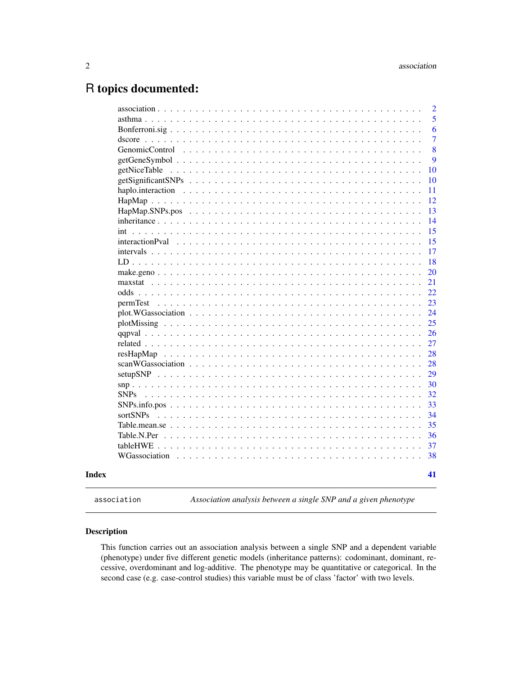## <span id="page-1-0"></span>R topics documented:

|                        | $\overline{2}$ |
|------------------------|----------------|
|                        | 5              |
|                        | 6              |
|                        | $\overline{7}$ |
|                        | 8              |
|                        | 9              |
|                        | 10             |
|                        | 10             |
|                        | 11             |
|                        | 12             |
|                        | 13             |
|                        | 14             |
| int                    | 15             |
| <i>interactionPval</i> | 15             |
|                        | 17             |
|                        | 18             |
|                        | 20             |
|                        | 21             |
|                        | 22             |
| permTest               | 23             |
|                        | 24             |
|                        | 25             |
|                        | 26             |
|                        | 27             |
|                        | 28             |
|                        | 28             |
|                        | 29             |
|                        | 30             |
| <b>SNPs</b>            | 32             |
|                        | 33             |
| sortSNPs               | 34             |
|                        | 35             |
|                        | 36             |
|                        | 37             |
| WGassociation          | 38             |
|                        | 41             |

<span id="page-1-1"></span>

association *Association analysis between a single SNP and a given phenotype*

## Description

This function carries out an association analysis between a single SNP and a dependent variable (phenotype) under five different genetic models (inheritance patterns): codominant, dominant, recessive, overdominant and log-additive. The phenotype may be quantitative or categorical. In the second case (e.g. case-control studies) this variable must be of class 'factor' with two levels.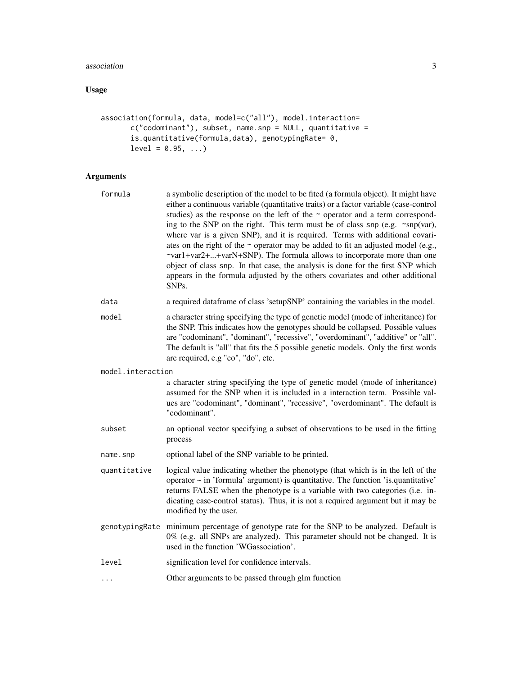## association 3

## Usage

```
association(formula, data, model=c("all"), model.interaction=
      c("codominant"), subset, name.snp = NULL, quantitative =
      is.quantitative(formula,data), genotypingRate= 0,
      level = 0.95, ...
```
## Arguments

| formula           | a symbolic description of the model to be fited (a formula object). It might have<br>either a continuous variable (quantitative traits) or a factor variable (case-control<br>studies) as the response on the left of the $\sim$ operator and a term correspond-<br>ing to the SNP on the right. This term must be of class snp (e.g. ~snp(var),<br>where var is a given SNP), and it is required. Terms with additional covari-<br>ates on the right of the $\sim$ operator may be added to fit an adjusted model (e.g.,<br>~var1+var2++varN+SNP). The formula allows to incorporate more than one<br>object of class snp. In that case, the analysis is done for the first SNP which<br>appears in the formula adjusted by the others covariates and other additional<br>SNP <sub>s</sub> . |
|-------------------|-----------------------------------------------------------------------------------------------------------------------------------------------------------------------------------------------------------------------------------------------------------------------------------------------------------------------------------------------------------------------------------------------------------------------------------------------------------------------------------------------------------------------------------------------------------------------------------------------------------------------------------------------------------------------------------------------------------------------------------------------------------------------------------------------|
| data              | a required dataframe of class 'setupSNP' containing the variables in the model.                                                                                                                                                                                                                                                                                                                                                                                                                                                                                                                                                                                                                                                                                                               |
| model             | a character string specifying the type of genetic model (mode of inheritance) for<br>the SNP. This indicates how the genotypes should be collapsed. Possible values<br>are "codominant", "dominant", "recessive", "overdominant", "additive" or "all".<br>The default is "all" that fits the 5 possible genetic models. Only the first words<br>are required, e.g "co", "do", etc.                                                                                                                                                                                                                                                                                                                                                                                                            |
| model.interaction |                                                                                                                                                                                                                                                                                                                                                                                                                                                                                                                                                                                                                                                                                                                                                                                               |
|                   | a character string specifying the type of genetic model (mode of inheritance)<br>assumed for the SNP when it is included in a interaction term. Possible val-<br>ues are "codominant", "dominant", "recessive", "overdominant". The default is<br>"codominant".                                                                                                                                                                                                                                                                                                                                                                                                                                                                                                                               |
| subset            | an optional vector specifying a subset of observations to be used in the fitting<br>process                                                                                                                                                                                                                                                                                                                                                                                                                                                                                                                                                                                                                                                                                                   |
| name.snp          | optional label of the SNP variable to be printed.                                                                                                                                                                                                                                                                                                                                                                                                                                                                                                                                                                                                                                                                                                                                             |
| quantitative      | logical value indicating whether the phenotype (that which is in the left of the<br>operator $\sim$ in 'formula' argument) is quantitative. The function 'is quantitative'<br>returns FALSE when the phenotype is a variable with two categories (i.e. in-<br>dicating case-control status). Thus, it is not a required argument but it may be<br>modified by the user.                                                                                                                                                                                                                                                                                                                                                                                                                       |
|                   | genotypingRate minimum percentage of genotype rate for the SNP to be analyzed. Default is<br>0% (e.g. all SNPs are analyzed). This parameter should not be changed. It is<br>used in the function 'WGassociation'.                                                                                                                                                                                                                                                                                                                                                                                                                                                                                                                                                                            |
| level             | signification level for confidence intervals.                                                                                                                                                                                                                                                                                                                                                                                                                                                                                                                                                                                                                                                                                                                                                 |
| .                 | Other arguments to be passed through glm function                                                                                                                                                                                                                                                                                                                                                                                                                                                                                                                                                                                                                                                                                                                                             |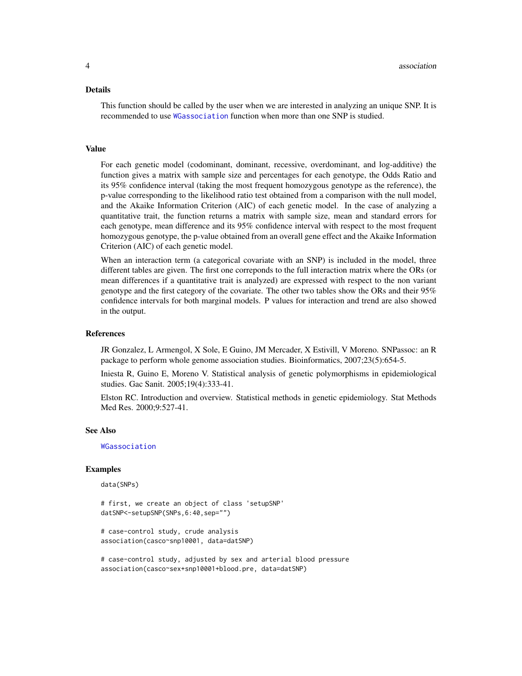#### <span id="page-3-0"></span>Details

This function should be called by the user when we are interested in analyzing an unique SNP. It is recommended to use [WGassociation](#page-37-1) function when more than one SNP is studied.

#### Value

For each genetic model (codominant, dominant, recessive, overdominant, and log-additive) the function gives a matrix with sample size and percentages for each genotype, the Odds Ratio and its 95% confidence interval (taking the most frequent homozygous genotype as the reference), the p-value corresponding to the likelihood ratio test obtained from a comparison with the null model, and the Akaike Information Criterion (AIC) of each genetic model. In the case of analyzing a quantitative trait, the function returns a matrix with sample size, mean and standard errors for each genotype, mean difference and its 95% confidence interval with respect to the most frequent homozygous genotype, the p-value obtained from an overall gene effect and the Akaike Information Criterion (AIC) of each genetic model.

When an interaction term (a categorical covariate with an SNP) is included in the model, three different tables are given. The first one correponds to the full interaction matrix where the ORs (or mean differences if a quantitative trait is analyzed) are expressed with respect to the non variant genotype and the first category of the covariate. The other two tables show the ORs and their 95% confidence intervals for both marginal models. P values for interaction and trend are also showed in the output.

#### References

JR Gonzalez, L Armengol, X Sole, E Guino, JM Mercader, X Estivill, V Moreno. SNPassoc: an R package to perform whole genome association studies. Bioinformatics, 2007;23(5):654-5.

Iniesta R, Guino E, Moreno V. Statistical analysis of genetic polymorphisms in epidemiological studies. Gac Sanit. 2005;19(4):333-41.

Elston RC. Introduction and overview. Statistical methods in genetic epidemiology. Stat Methods Med Res. 2000;9:527-41.

#### See Also

[WGassociation](#page-37-1)

#### Examples

data(SNPs)

# first, we create an object of class 'setupSNP' datSNP<-setupSNP(SNPs,6:40,sep="")

# case-control study, crude analysis association(casco~snp10001, data=datSNP)

# case-control study, adjusted by sex and arterial blood pressure association(casco~sex+snp10001+blood.pre, data=datSNP)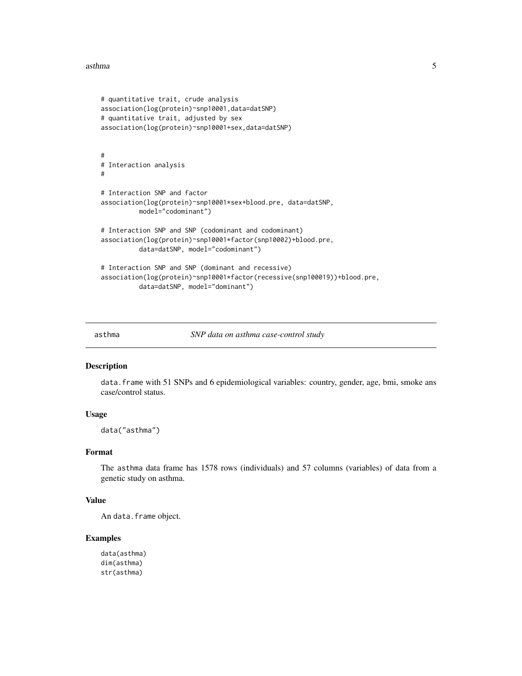#### <span id="page-4-0"></span>asthma 5

```
# quantitative trait, crude analysis
association(log(protein)~snp10001,data=datSNP)
# quantitative trait, adjusted by sex
association(log(protein)~snp10001+sex,data=datSNP)
#
# Interaction analysis
#
# Interaction SNP and factor
association(log(protein)~snp10001*sex+blood.pre, data=datSNP,
          model="codominant")
# Interaction SNP and SNP (codominant and codominant)
association(log(protein)~snp10001*factor(snp10002)+blood.pre,
          data=datSNP, model="codominant")
# Interaction SNP and SNP (dominant and recessive)
association(log(protein)~snp10001*factor(recessive(snp100019))+blood.pre,
          data=datSNP, model="dominant")
```
asthma *SNP data on asthma case-control study*

## **Description**

data.frame with 51 SNPs and 6 epidemiological variables: country, gender, age, bmi, smoke ans case/control status.

#### Usage

data("asthma")

#### Format

The asthma data frame has 1578 rows (individuals) and 57 columns (variables) of data from a genetic study on asthma.

#### Value

An data.frame object.

#### Examples

```
data(asthma)
dim(asthma)
str(asthma)
```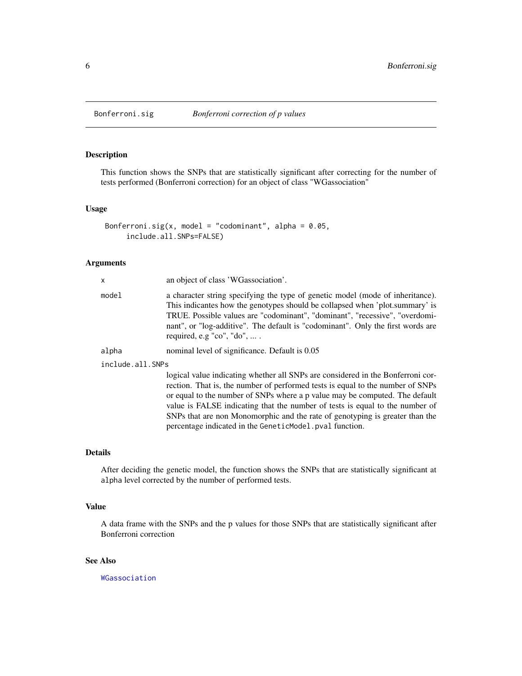<span id="page-5-0"></span>

This function shows the SNPs that are statistically significant after correcting for the number of tests performed (Bonferroni correction) for an object of class "WGassociation"

#### Usage

```
Bonferroni.sig(x, model = "codominant", alpha = 0.05,
     include.all.SNPs=FALSE)
```
#### Arguments

| X                | an object of class 'WGassociation'.                                                                                                                                                                                                                                                                                                                                                                              |  |  |
|------------------|------------------------------------------------------------------------------------------------------------------------------------------------------------------------------------------------------------------------------------------------------------------------------------------------------------------------------------------------------------------------------------------------------------------|--|--|
| model            | a character string specifying the type of genetic model (mode of inheritance).<br>This indicantes how the genotypes should be collapsed when 'plot.summary' is<br>TRUE. Possible values are "codominant", "dominant", "recessive", "overdomi-<br>nant", or "log-additive". The default is "codominant". Only the first words are<br>required, e.g $"co", "do", \ldots$ .                                         |  |  |
| alpha            | nominal level of significance. Default is 0.05                                                                                                                                                                                                                                                                                                                                                                   |  |  |
| include.all.SNPs |                                                                                                                                                                                                                                                                                                                                                                                                                  |  |  |
|                  | logical value indicating whether all SNPs are considered in the Bonferroni cor-<br>rection. That is, the number of performed tests is equal to the number of SNPs<br>or equal to the number of SNPs where a p value may be computed. The default<br>value is FALSE indicating that the number of tests is equal to the number of<br>SNPs that are non Monomorphic and the rate of genotyping is greater than the |  |  |

#### Details

After deciding the genetic model, the function shows the SNPs that are statistically significant at alpha level corrected by the number of performed tests.

percentage indicated in the GeneticModel.pval function.

#### Value

A data frame with the SNPs and the p values for those SNPs that are statistically significant after Bonferroni correction

## See Also

[WGassociation](#page-37-1)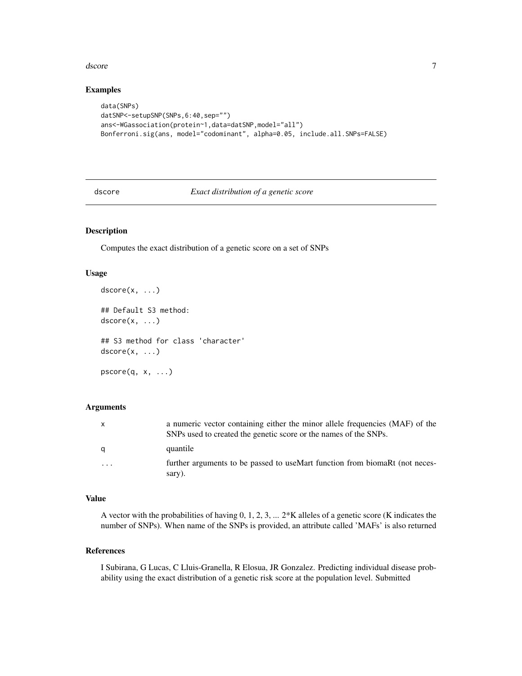#### <span id="page-6-0"></span>dscore and the set of the set of the set of the set of the set of the set of the set of the set of the set of the set of the set of the set of the set of the set of the set of the set of the set of the set of the set of th

## Examples

```
data(SNPs)
datSNP<-setupSNP(SNPs,6:40,sep="")
ans<-WGassociation(protein~1,data=datSNP,model="all")
Bonferroni.sig(ans, model="codominant", alpha=0.05, include.all.SNPs=FALSE)
```
dscore *Exact distribution of a genetic score*

## Description

Computes the exact distribution of a genetic score on a set of SNPs

## Usage

```
dscore(x, \ldots)## Default S3 method:
dscore(x, \ldots)
```
## S3 method for class 'character'  $dscore(x, \ldots)$ 

 $pscore(q, x, ...)$ 

#### Arguments

| $\mathbf{x}$            | a numeric vector containing either the minor allele frequencies (MAF) of the<br>SNPs used to created the genetic score or the names of the SNPs. |
|-------------------------|--------------------------------------------------------------------------------------------------------------------------------------------------|
| q                       | quantile                                                                                                                                         |
| $\cdot$ $\cdot$ $\cdot$ | further arguments to be passed to useMart function from biomaRt (not neces-<br>sary).                                                            |

## Value

A vector with the probabilities of having  $0, 1, 2, 3, \ldots$  2\*K alleles of a genetic score (K indicates the number of SNPs). When name of the SNPs is provided, an attribute called 'MAFs' is also returned

#### References

I Subirana, G Lucas, C Lluis-Granella, R Elosua, JR Gonzalez. Predicting individual disease probability using the exact distribution of a genetic risk score at the population level. Submitted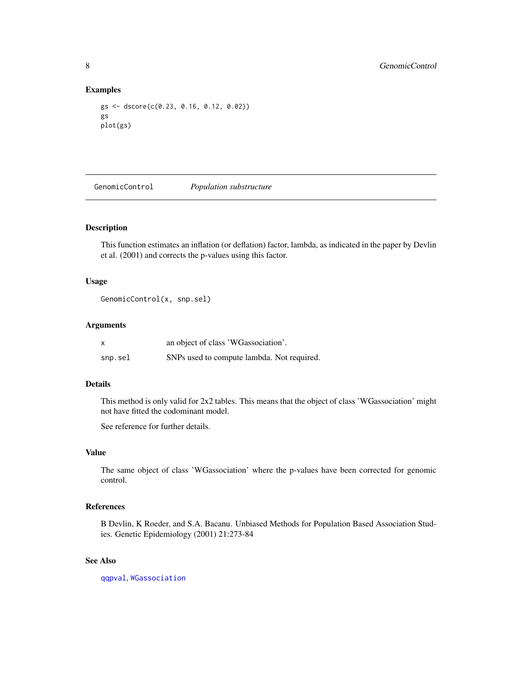#### Examples

```
gs <- dscore(c(0.23, 0.16, 0.12, 0.02))
gs
plot(gs)
```
<span id="page-7-1"></span>GenomicControl *Population substructure*

#### Description

This function estimates an inflation (or deflation) factor, lambda, as indicated in the paper by Devlin et al. (2001) and corrects the p-values using this factor.

#### Usage

GenomicControl(x, snp.sel)

## Arguments

| X       | an object of class 'WGassociation'.        |  |  |
|---------|--------------------------------------------|--|--|
| snp.sel | SNPs used to compute lambda. Not required. |  |  |

## Details

This method is only valid for 2x2 tables. This means that the object of class 'WGassociation' might not have fitted the codominant model.

See reference for further details.

#### Value

The same object of class 'WGassociation' where the p-values have been corrected for genomic control.

## References

B Devlin, K Roeder, and S.A. Bacanu. Unbiased Methods for Population Based Association Studies. Genetic Epidemiology (2001) 21:273-84

#### See Also

[qqpval](#page-25-1), [WGassociation](#page-37-1)

<span id="page-7-0"></span>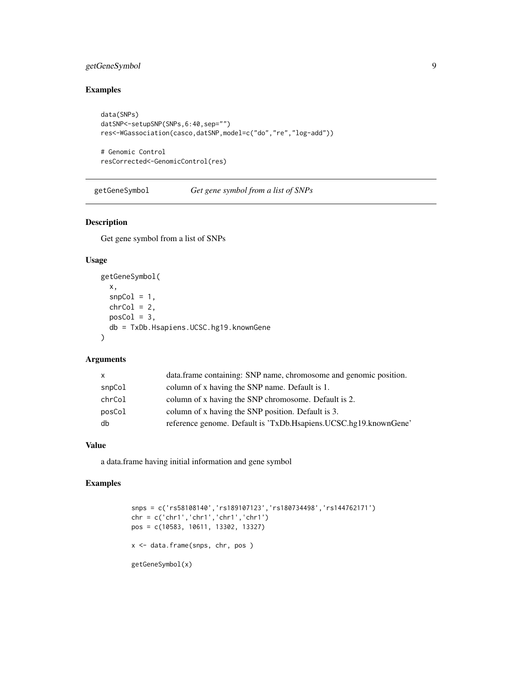## <span id="page-8-0"></span>getGeneSymbol 9

## Examples

```
data(SNPs)
datSNP<-setupSNP(SNPs,6:40,sep="")
res<-WGassociation(casco,datSNP,model=c("do","re","log-add"))
# Genomic Control
```

```
resCorrected<-GenomicControl(res)
```
getGeneSymbol *Get gene symbol from a list of SNPs*

## Description

Get gene symbol from a list of SNPs

## Usage

```
getGeneSymbol(
  x,
  snpCol = 1,
  chrCol = 2,
  posCol = 3,
  db = TxDb.Hsapiens.UCSC.hg19.knownGene
\mathcal{L}
```
## Arguments

| column of x having the SNP name. Default is 1.<br>snpCol               |  |
|------------------------------------------------------------------------|--|
| column of x having the SNP chromosome. Default is 2.<br>chrCol         |  |
| column of x having the SNP position. Default is 3.<br>posCol           |  |
| reference genome. Default is 'TxDb.Hsapiens.UCSC.hg19.knownGene'<br>db |  |

#### Value

a data.frame having initial information and gene symbol

## Examples

```
snps = c('rs58108140','rs189107123','rs180734498','rs144762171')
chr = c('chr1','chr1','chr1','chr1')
pos = c(10583, 10611, 13302, 13327)
x <- data.frame(snps, chr, pos )
getGeneSymbol(x)
```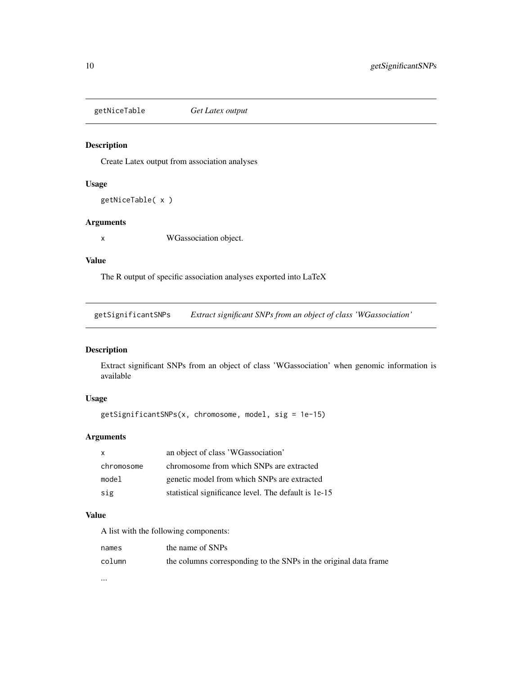<span id="page-9-0"></span>getNiceTable *Get Latex output*

## Description

Create Latex output from association analyses

## Usage

getNiceTable( x )

## Arguments

x WGassociation object.

#### Value

The R output of specific association analyses exported into LaTeX

<span id="page-9-1"></span>getSignificantSNPs *Extract significant SNPs from an object of class 'WGassociation'*

## Description

Extract significant SNPs from an object of class 'WGassociation' when genomic information is available

## Usage

```
getSignificantSNPs(x, chromosome, model, sig = 1e-15)
```
## Arguments

| $\mathsf{X}$ | an object of class 'WGassociation'                   |  |
|--------------|------------------------------------------------------|--|
| chromosome   | chromosome from which SNPs are extracted             |  |
| model        | genetic model from which SNPs are extracted          |  |
| sig          | statistical significance level. The default is 1e-15 |  |

## Value

A list with the following components:

| names  | the name of SNPs                                                 |
|--------|------------------------------------------------------------------|
| column | the columns corresponding to the SNPs in the original data frame |

...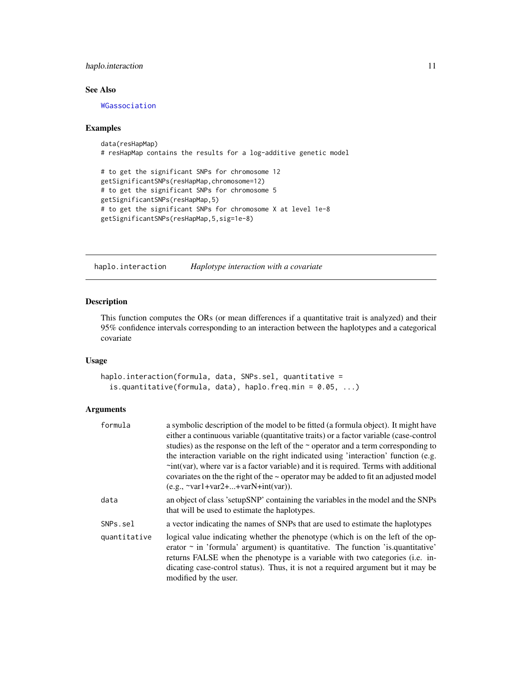## <span id="page-10-0"></span>haplo.interaction 11

## See Also

[WGassociation](#page-37-1)

#### Examples

```
data(resHapMap)
# resHapMap contains the results for a log-additive genetic model
# to get the significant SNPs for chromosome 12
getSignificantSNPs(resHapMap,chromosome=12)
# to get the significant SNPs for chromosome 5
getSignificantSNPs(resHapMap,5)
# to get the significant SNPs for chromosome X at level 1e-8
getSignificantSNPs(resHapMap,5,sig=1e-8)
```
<span id="page-10-1"></span>haplo.interaction *Haplotype interaction with a covariate*

#### Description

This function computes the ORs (or mean differences if a quantitative trait is analyzed) and their 95% confidence intervals corresponding to an interaction between the haplotypes and a categorical covariate

#### Usage

```
haplo.interaction(formula, data, SNPs.sel, quantitative =
  is.quantitative(formula, data), haplo.freq.min = 0.05, ...)
```
#### Arguments

| formula      | a symbolic description of the model to be fitted (a formula object). It might have<br>either a continuous variable (quantitative traits) or a factor variable (case-control<br>studies) as the response on the left of the $\sim$ operator and a term corresponding to<br>the interaction variable on the right indicated using 'interaction' function (e.g.<br>$\div$ int(var), where var is a factor variable) and it is required. Terms with additional<br>covariates on the the right of the $\sim$ operator may be added to fit an adjusted model |
|--------------|--------------------------------------------------------------------------------------------------------------------------------------------------------------------------------------------------------------------------------------------------------------------------------------------------------------------------------------------------------------------------------------------------------------------------------------------------------------------------------------------------------------------------------------------------------|
|              | $(e.g., \neg var1 + var2 +  + varN + int(var)).$                                                                                                                                                                                                                                                                                                                                                                                                                                                                                                       |
| data         | an object of class 'setupSNP' containing the variables in the model and the SNPs<br>that will be used to estimate the haplotypes.                                                                                                                                                                                                                                                                                                                                                                                                                      |
| SNPs.sel     | a vector indicating the names of SNPs that are used to estimate the haplotypes                                                                                                                                                                                                                                                                                                                                                                                                                                                                         |
| quantitative | logical value indicating whether the phenotype (which is on the left of the op-<br>erator $\sim$ in 'formula' argument) is quantitative. The function 'is quantitative'<br>returns FALSE when the phenotype is a variable with two categories (i.e. in-<br>dicating case-control status). Thus, it is not a required argument but it may be<br>modified by the user.                                                                                                                                                                                   |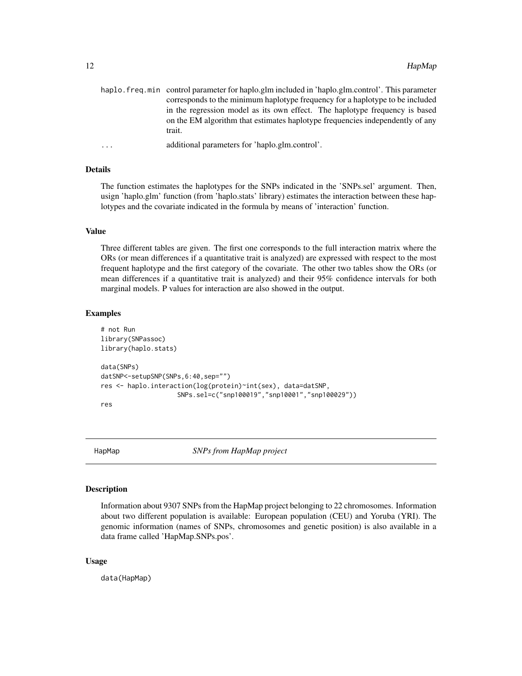<span id="page-11-0"></span>

| haplo, freq, min control parameter for haplo, glm included in 'haplo, glm, control'. This parameter |
|-----------------------------------------------------------------------------------------------------|
| corresponds to the minimum haplotype frequency for a haplotype to be included                       |
| in the regression model as its own effect. The haplotype frequency is based                         |
| on the EM algorithm that estimates haplotype frequencies independently of any                       |
| trait.                                                                                              |
|                                                                                                     |

```
... additional parameters for 'haplo.glm.control'.
```
## Details

The function estimates the haplotypes for the SNPs indicated in the 'SNPs.sel' argument. Then, usign 'haplo.glm' function (from 'haplo.stats' library) estimates the interaction between these haplotypes and the covariate indicated in the formula by means of 'interaction' function.

#### Value

Three different tables are given. The first one corresponds to the full interaction matrix where the ORs (or mean differences if a quantitative trait is analyzed) are expressed with respect to the most frequent haplotype and the first category of the covariate. The other two tables show the ORs (or mean differences if a quantitative trait is analyzed) and their 95% confidence intervals for both marginal models. P values for interaction are also showed in the output.

#### Examples

```
# not Run
library(SNPassoc)
library(haplo.stats)
data(SNPs)
datSNP<-setupSNP(SNPs,6:40,sep="")
res <- haplo.interaction(log(protein)~int(sex), data=datSNP,
                    SNPs.sel=c("snp100019","snp10001","snp100029"))
res
```
HapMap *SNPs from HapMap project*

## Description

Information about 9307 SNPs from the HapMap project belonging to 22 chromosomes. Information about two different population is available: European population (CEU) and Yoruba (YRI). The genomic information (names of SNPs, chromosomes and genetic position) is also available in a data frame called 'HapMap.SNPs.pos'.

#### Usage

data(HapMap)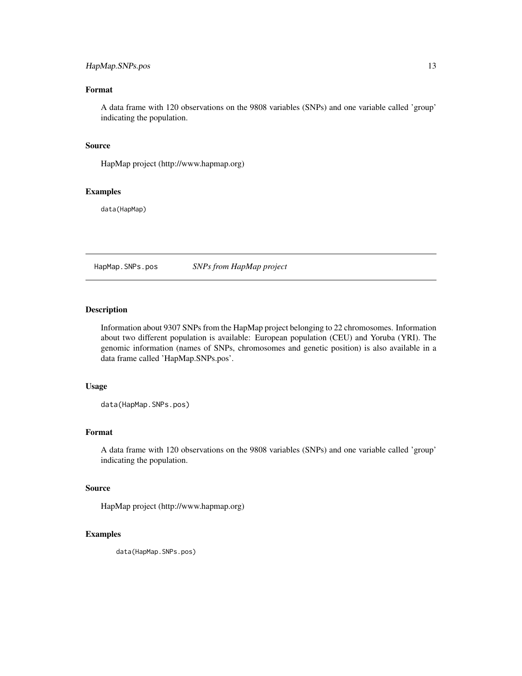## <span id="page-12-0"></span>HapMap.SNPs.pos 13

## Format

A data frame with 120 observations on the 9808 variables (SNPs) and one variable called 'group' indicating the population.

#### Source

HapMap project (http://www.hapmap.org)

#### Examples

data(HapMap)

HapMap.SNPs.pos *SNPs from HapMap project*

## Description

Information about 9307 SNPs from the HapMap project belonging to 22 chromosomes. Information about two different population is available: European population (CEU) and Yoruba (YRI). The genomic information (names of SNPs, chromosomes and genetic position) is also available in a data frame called 'HapMap.SNPs.pos'.

## Usage

data(HapMap.SNPs.pos)

#### Format

A data frame with 120 observations on the 9808 variables (SNPs) and one variable called 'group' indicating the population.

## Source

HapMap project (http://www.hapmap.org)

## Examples

data(HapMap.SNPs.pos)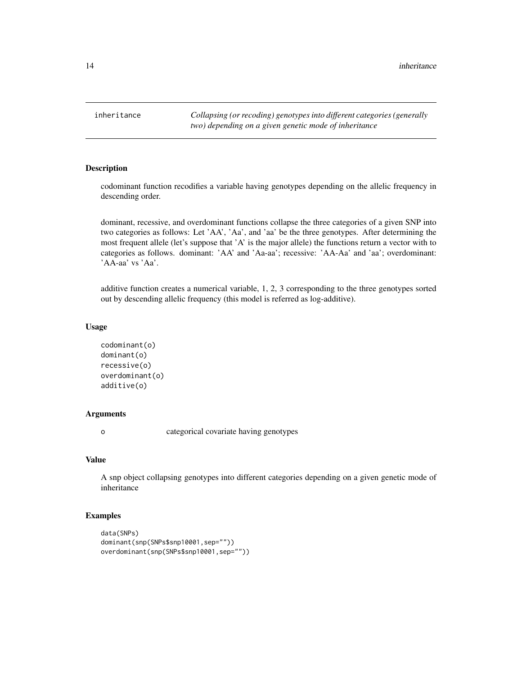<span id="page-13-0"></span>inheritance *Collapsing (or recoding) genotypes into different categories (generally two) depending on a given genetic mode of inheritance*

## Description

codominant function recodifies a variable having genotypes depending on the allelic frequency in descending order.

dominant, recessive, and overdominant functions collapse the three categories of a given SNP into two categories as follows: Let 'AA', 'Aa', and 'aa' be the three genotypes. After determining the most frequent allele (let's suppose that 'A' is the major allele) the functions return a vector with to categories as follows. dominant: 'AA' and 'Aa-aa'; recessive: 'AA-Aa' and 'aa'; overdominant: 'AA-aa' vs 'Aa'.

additive function creates a numerical variable, 1, 2, 3 corresponding to the three genotypes sorted out by descending allelic frequency (this model is referred as log-additive).

#### Usage

```
codominant(o)
dominant(o)
recessive(o)
overdominant(o)
additive(o)
```
## Arguments

o categorical covariate having genotypes

## Value

A snp object collapsing genotypes into different categories depending on a given genetic mode of inheritance

## Examples

```
data(SNPs)
dominant(snp(SNPs$snp10001,sep=""))
overdominant(snp(SNPs$snp10001,sep=""))
```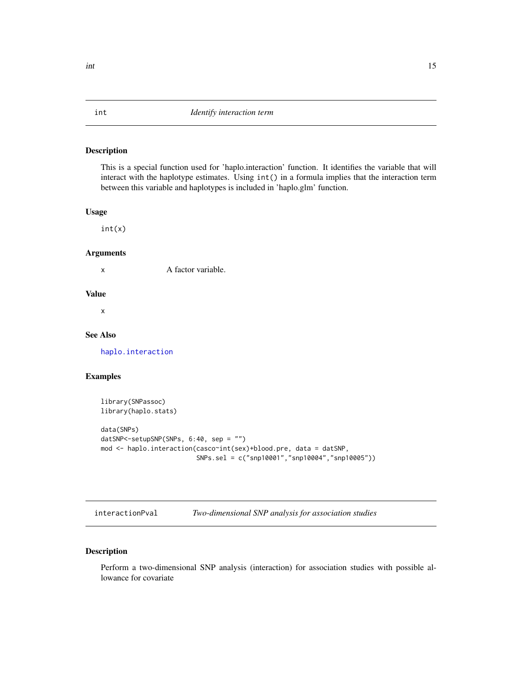This is a special function used for 'haplo.interaction' function. It identifies the variable that will interact with the haplotype estimates. Using int() in a formula implies that the interaction term between this variable and haplotypes is included in 'haplo.glm' function.

#### Usage

int(x)

## Arguments

x A factor variable.

#### Value

x

#### See Also

[haplo.interaction](#page-10-1)

## Examples

```
library(SNPassoc)
library(haplo.stats)
```

```
data(SNPs)
datSNP<-setupSNP(SNPs, 6:40, sep = "")
mod <- haplo.interaction(casco~int(sex)+blood.pre, data = datSNP,
                         SNPs.sel = c("snp10001","snp10004","snp10005"))
```
interactionPval *Two-dimensional SNP analysis for association studies*

## Description

Perform a two-dimensional SNP analysis (interaction) for association studies with possible allowance for covariate

<span id="page-14-0"></span>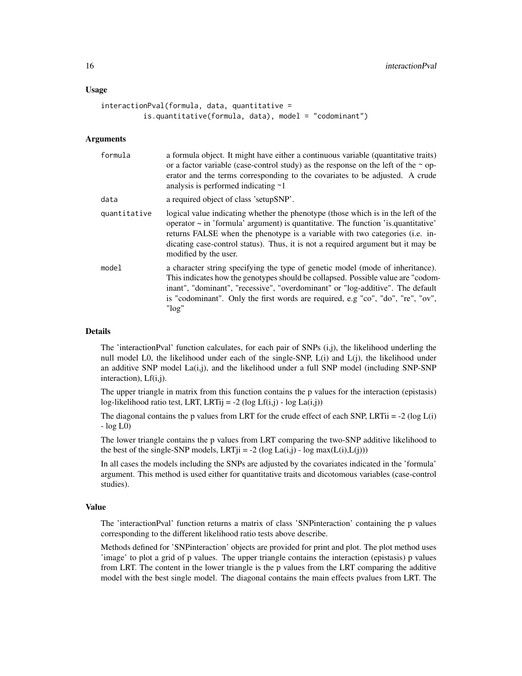#### Usage

```
interactionPval(formula, data, quantitative =
         is.quantitative(formula, data), model = "codominant")
```
#### **Arguments**

| formula      | a formula object. It might have either a continuous variable (quantitative traits)<br>or a factor variable (case-control study) as the response on the left of the $\sim$ op-<br>erator and the terms corresponding to the covariates to be adjusted. A crude<br>analysis is performed indicating $\sim$ 1                                                               |
|--------------|--------------------------------------------------------------------------------------------------------------------------------------------------------------------------------------------------------------------------------------------------------------------------------------------------------------------------------------------------------------------------|
| data         | a required object of class 'setupSNP'.                                                                                                                                                                                                                                                                                                                                   |
| quantitative | logical value indicating whether the phenotype (those which is in the left of the<br>operator $\sim$ in 'formula' argument) is quantitative. The function 'is quantitative'<br>returns FALSE when the phenotype is a variable with two categories (i.e. in-<br>dicating case-control status). Thus, it is not a required argument but it may be<br>modified by the user. |
| model        | a character string specifying the type of genetic model (mode of inheritance).<br>This indicates how the genotypes should be collapsed. Possible value are "codom-<br>inant", "dominant", "recessive", "overdominant" or "log-additive". The default<br>is "codominant". Only the first words are required, e.g "co", "do", "re", "ov",<br>$"$ log $"$                   |

#### Details

The 'interactionPval' function calculates, for each pair of SNPs (i,j), the likelihood underling the null model L0, the likelihood under each of the single-SNP,  $L(i)$  and  $L(i)$ , the likelihood under an additive SNP model  $La(i,j)$ , and the likelihood under a full SNP model (including SNP-SNP interaction), Lf(i,j).

The upper triangle in matrix from this function contains the p values for the interaction (epistasis) log-likelihood ratio test, LRT, LRTij = -2 (log Lf(i,j) - log La(i,j))

The diagonal contains the p values from LRT for the crude effect of each SNP, LRTii =  $-2$  (log L(i) - log L0)

The lower triangle contains the p values from LRT comparing the two-SNP additive likelihood to the best of the single-SNP models, LRT $ji = -2$  (log La(i,j) - log max( $L(i), L(j)$ ))

In all cases the models including the SNPs are adjusted by the covariates indicated in the 'formula' argument. This method is used either for quantitative traits and dicotomous variables (case-control studies).

## Value

The 'interactionPval' function returns a matrix of class 'SNPinteraction' containing the p values corresponding to the different likelihood ratio tests above describe.

Methods defined for 'SNPinteraction' objects are provided for print and plot. The plot method uses 'image' to plot a grid of p values. The upper triangle contains the interaction (epistasis) p values from LRT. The content in the lower triangle is the p values from the LRT comparing the additive model with the best single model. The diagonal contains the main effects pvalues from LRT. The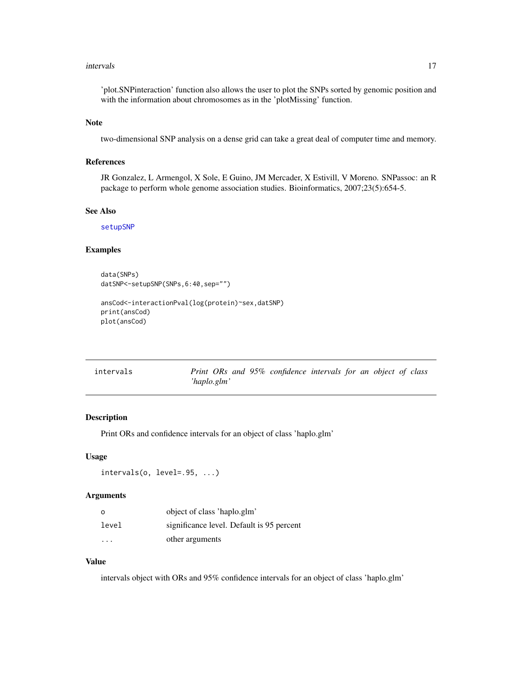#### <span id="page-16-0"></span>intervals and the contract of the contract of the contract of the contract of the contract of the contract of the contract of the contract of the contract of the contract of the contract of the contract of the contract of

'plot.SNPinteraction' function also allows the user to plot the SNPs sorted by genomic position and with the information about chromosomes as in the 'plotMissing' function.

#### Note

two-dimensional SNP analysis on a dense grid can take a great deal of computer time and memory.

#### References

JR Gonzalez, L Armengol, X Sole, E Guino, JM Mercader, X Estivill, V Moreno. SNPassoc: an R package to perform whole genome association studies. Bioinformatics, 2007;23(5):654-5.

#### See Also

[setupSNP](#page-28-1)

#### Examples

```
data(SNPs)
datSNP<-setupSNP(SNPs,6:40,sep="")
ansCod<-interactionPval(log(protein)~sex,datSNP)
```

```
print(ansCod)
plot(ansCod)
```

| intervals | Print ORs and 95% confidence intervals for an object of class |  |  |
|-----------|---------------------------------------------------------------|--|--|
|           | 'haplo.glm'                                                   |  |  |

## Description

Print ORs and confidence intervals for an object of class 'haplo.glm'

#### Usage

```
intervals(o, level=.95, ...)
```
#### Arguments

| $\circ$ | object of class 'haplo.glm'               |
|---------|-------------------------------------------|
| level   | significance level. Default is 95 percent |
| .       | other arguments                           |

## Value

intervals object with ORs and 95% confidence intervals for an object of class 'haplo.glm'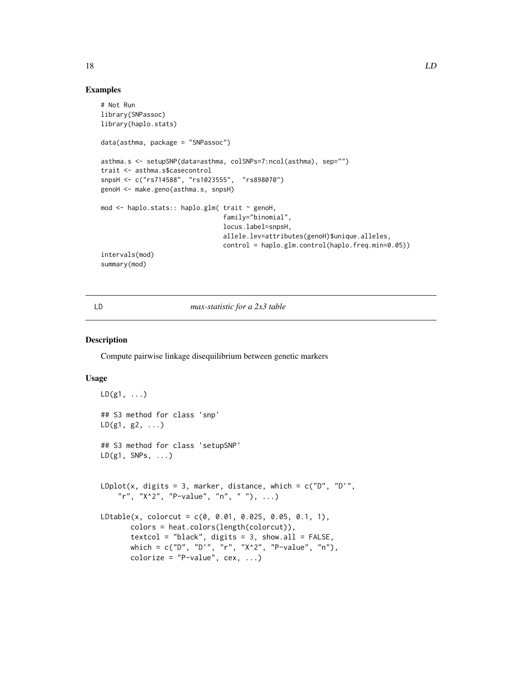#### Examples

```
# Not Run
library(SNPassoc)
library(haplo.stats)
data(asthma, package = "SNPassoc")
asthma.s <- setupSNP(data=asthma, colSNPs=7:ncol(asthma), sep="")
trait <- asthma.s$casecontrol
snpsH <- c("rs714588", "rs1023555", "rs898070")
genoH <- make.geno(asthma.s, snpsH)
mod <- haplo.stats:: haplo.glm( trait ~ genoH,
                                family="binomial",
                                locus.label=snpsH,
                                allele.lev=attributes(genoH)$unique.alleles,
                                control = haplo.glm.control(haplo.freq.min=0.05))
intervals(mod)
summary(mod)
```
#### LD *max-statistic for a 2x3 table*

#### Description

Compute pairwise linkage disequilibrium between genetic markers

#### Usage

```
LD(g1, \ldots)## S3 method for class 'snp'
LD(g1, g2, \ldots)## S3 method for class 'setupSNP'
LD(g1, SNPs, ...)LDplot(x, digits = 3, marker, distance, which = c("D", "D","r", "X^2", "P-value", "n", " "), ...)
LDtable(x, colorcut = c(0, 0.01, 0.025, 0.05, 0.1, 1),
       colors = heat.colors(length(colorcut)),
       textcol = "black", digits = 3, show.al1 = FALSE,which = c("D", "D'", "r", "X^2", "P-value", "n"),
       colorize = "P-value", cex, ...)
```
<span id="page-17-0"></span>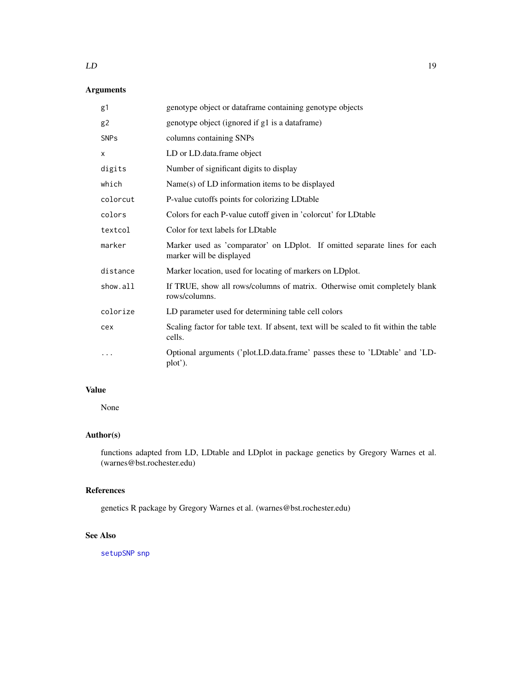#### <span id="page-18-0"></span> $LD$  19

## Arguments

| g1             | genotype object or dataframe containing genotype objects                                              |
|----------------|-------------------------------------------------------------------------------------------------------|
| g <sub>2</sub> | genotype object (ignored if g1 is a dataframe)                                                        |
| <b>SNPs</b>    | columns containing SNPs                                                                               |
| X              | LD or LD.data.frame object                                                                            |
| digits         | Number of significant digits to display                                                               |
| which          | Name(s) of LD information items to be displayed                                                       |
| colorcut       | P-value cutoffs points for colorizing LDtable                                                         |
| colors         | Colors for each P-value cutoff given in 'colorcut' for LDtable                                        |
| textcol        | Color for text labels for LDtable                                                                     |
| marker         | Marker used as 'comparator' on LDplot. If omitted separate lines for each<br>marker will be displayed |
| distance       | Marker location, used for locating of markers on LDplot.                                              |
| show.all       | If TRUE, show all rows/columns of matrix. Otherwise omit completely blank<br>rows/columns.            |
| colorize       | LD parameter used for determining table cell colors                                                   |
| cex            | Scaling factor for table text. If absent, text will be scaled to fit within the table<br>cells.       |
|                | Optional arguments ('plot.LD.data.frame' passes these to 'LDtable' and 'LD-<br>plot').                |

## Value

None

## Author(s)

functions adapted from LD, LDtable and LDplot in package genetics by Gregory Warnes et al. (warnes@bst.rochester.edu)

## References

genetics R package by Gregory Warnes et al. (warnes@bst.rochester.edu)

## See Also

[setupSNP](#page-28-1) [snp](#page-29-1)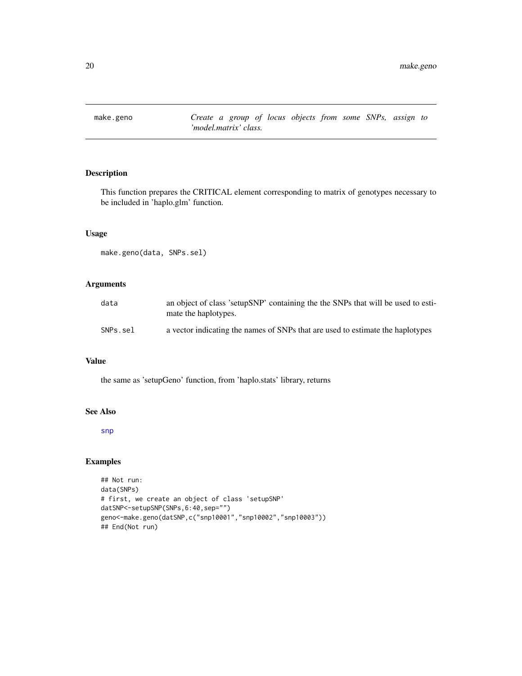<span id="page-19-0"></span>make.geno *Create a group of locus objects from some SNPs, assign to 'model.matrix' class.*

## Description

This function prepares the CRITICAL element corresponding to matrix of genotypes necessary to be included in 'haplo.glm' function.

## Usage

make.geno(data, SNPs.sel)

## Arguments

| data     | an object of class 'setupSNP' containing the the SNPs that will be used to esti-<br>mate the haplotypes. |
|----------|----------------------------------------------------------------------------------------------------------|
| SNPs.sel | a vector indicating the names of SNPs that are used to estimate the haplotypes                           |

## Value

the same as 'setupGeno' function, from 'haplo.stats' library, returns

#### See Also

[snp](#page-29-1)

## Examples

```
## Not run:
data(SNPs)
# first, we create an object of class 'setupSNP'
datSNP<-setupSNP(SNPs,6:40,sep="")
geno<-make.geno(datSNP,c("snp10001","snp10002","snp10003"))
## End(Not run)
```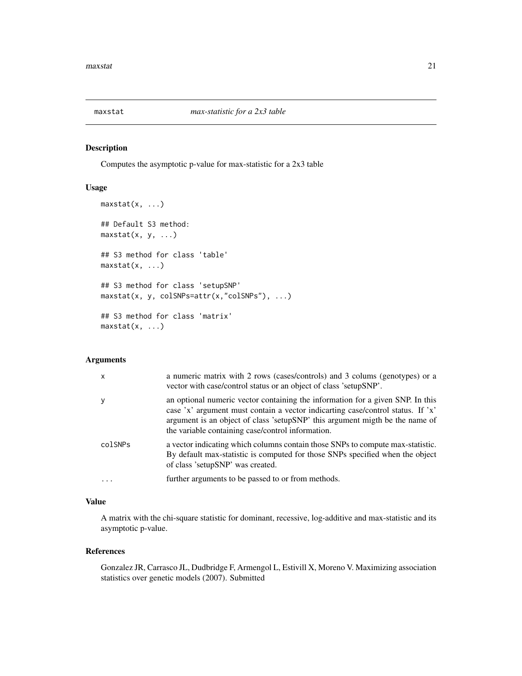<span id="page-20-0"></span>

Computes the asymptotic p-value for max-statistic for a 2x3 table

## Usage

```
maxstat(x, ...)## Default S3 method:
maxstat(x, y, ...)## S3 method for class 'table'
maxstat(x, \ldots)## S3 method for class 'setupSNP'
maxstat(x, y, colSNPs=attr(x,"colSNPs"), ...)
## S3 method for class 'matrix'
maxstat(x, \ldots)
```
#### Arguments

| $\mathsf{x}$ | a numeric matrix with 2 rows (cases/controls) and 3 colums (genotypes) or a<br>vector with case/control status or an object of class 'setupSNP'.                                                                                                                                                       |
|--------------|--------------------------------------------------------------------------------------------------------------------------------------------------------------------------------------------------------------------------------------------------------------------------------------------------------|
| y            | an optional numeric vector containing the information for a given SNP. In this<br>case 'x' argument must contain a vector indicarting case/control status. If 'x'<br>argument is an object of class 'setupSNP' this argument migth be the name of<br>the variable containing case/control information. |
| colSNPs      | a vector indicating which columns contain those SNPs to compute max-statistic.<br>By default max-statistic is computed for those SNPs specified when the object<br>of class 'setupSNP' was created.                                                                                                    |
|              | further arguments to be passed to or from methods.                                                                                                                                                                                                                                                     |

## Value

A matrix with the chi-square statistic for dominant, recessive, log-additive and max-statistic and its asymptotic p-value.

#### References

Gonzalez JR, Carrasco JL, Dudbridge F, Armengol L, Estivill X, Moreno V. Maximizing association statistics over genetic models (2007). Submitted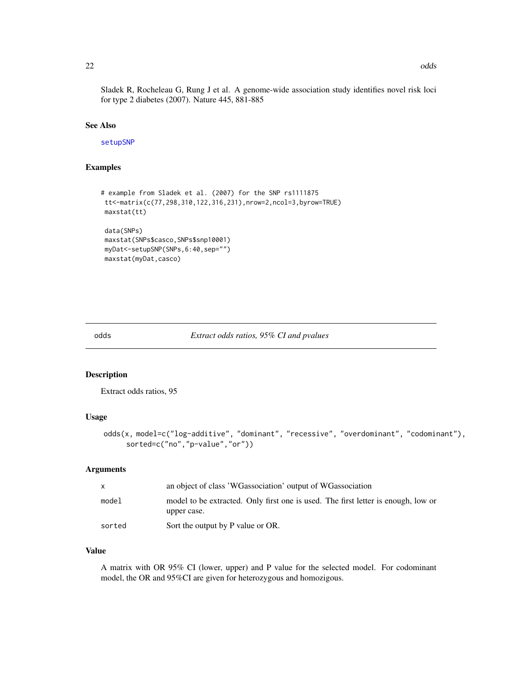<span id="page-21-0"></span>Sladek R, Rocheleau G, Rung J et al. A genome-wide association study identifies novel risk loci for type 2 diabetes (2007). Nature 445, 881-885

#### See Also

[setupSNP](#page-28-1)

## Examples

```
# example from Sladek et al. (2007) for the SNP rs1111875
tt<-matrix(c(77,298,310,122,316,231),nrow=2,ncol=3,byrow=TRUE)
maxstat(tt)
data(SNPs)
maxstat(SNPs$casco,SNPs$snp10001)
myDat<-setupSNP(SNPs,6:40,sep="")
maxstat(myDat,casco)
```
#### odds *Extract odds ratios, 95% CI and pvalues*

## Description

Extract odds ratios, 95

#### Usage

```
odds(x, model=c("log-additive", "dominant", "recessive", "overdominant", "codominant"),
     sorted=c("no","p-value","or"))
```
## Arguments

| X      | an object of class 'WGassociation' output of WGassociation                                       |
|--------|--------------------------------------------------------------------------------------------------|
| model  | model to be extracted. Only first one is used. The first letter is enough, low or<br>upper case. |
| sorted | Sort the output by P value or OR.                                                                |

## Value

A matrix with OR 95% CI (lower, upper) and P value for the selected model. For codominant model, the OR and 95%CI are given for heterozygous and homozigous.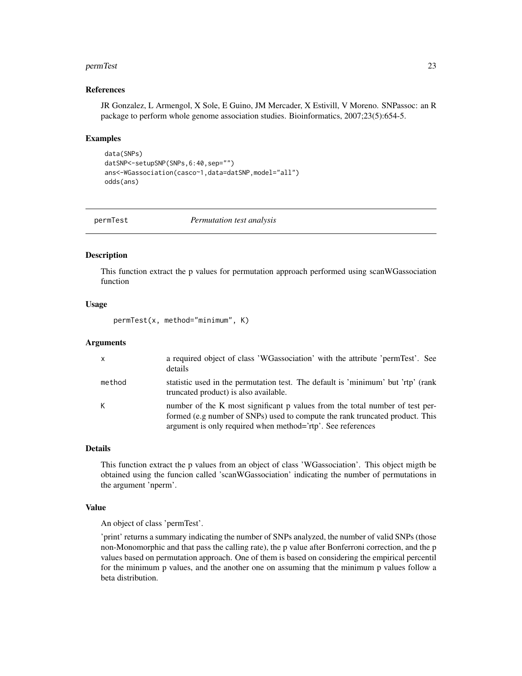#### <span id="page-22-0"></span>permTest 23

#### References

JR Gonzalez, L Armengol, X Sole, E Guino, JM Mercader, X Estivill, V Moreno. SNPassoc: an R package to perform whole genome association studies. Bioinformatics, 2007;23(5):654-5.

#### Examples

```
data(SNPs)
datSNP<-setupSNP(SNPs,6:40,sep="")
ans<-WGassociation(casco~1,data=datSNP,model="all")
odds(ans)
```
permTest *Permutation test analysis*

#### Description

This function extract the p values for permutation approach performed using scanWGassociation function

#### Usage

permTest(x, method="minimum", K)

## Arguments

| $\mathsf{x}$ | a required object of class 'WGassociation' with the attribute 'permTest'. See<br>details                                                                                                                                    |
|--------------|-----------------------------------------------------------------------------------------------------------------------------------------------------------------------------------------------------------------------------|
| method       | statistic used in the permutation test. The default is 'minimum' but 'rtp' (rank<br>truncated product) is also available.                                                                                                   |
| К            | number of the K most significant p values from the total number of test per-<br>formed (e.g number of SNPs) used to compute the rank truncated product. This<br>argument is only required when method='rtp'. See references |

#### Details

This function extract the p values from an object of class 'WGassociation'. This object migth be obtained using the funcion called 'scanWGassociation' indicating the number of permutations in the argument 'nperm'.

#### Value

An object of class 'permTest'.

'print' returns a summary indicating the number of SNPs analyzed, the number of valid SNPs (those non-Monomorphic and that pass the calling rate), the p value after Bonferroni correction, and the p values based on permutation approach. One of them is based on considering the empirical percentil for the minimum p values, and the another one on assuming that the minimum p values follow a beta distribution.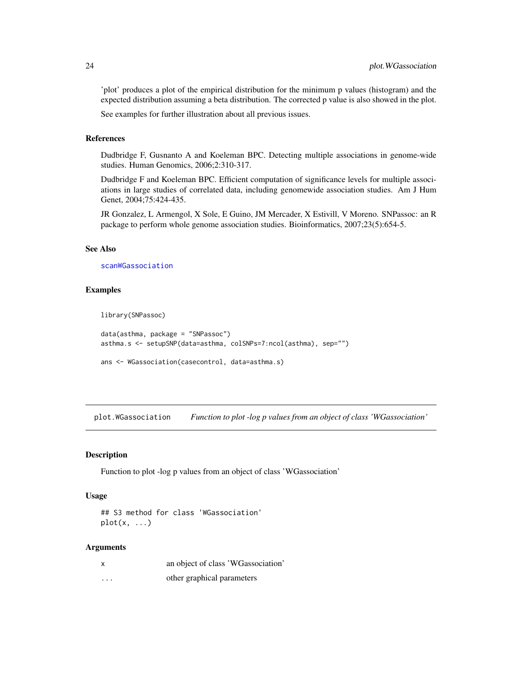'plot' produces a plot of the empirical distribution for the minimum p values (histogram) and the expected distribution assuming a beta distribution. The corrected p value is also showed in the plot.

See examples for further illustration about all previous issues.

#### References

Dudbridge F, Gusnanto A and Koeleman BPC. Detecting multiple associations in genome-wide studies. Human Genomics, 2006;2:310-317.

Dudbridge F and Koeleman BPC. Efficient computation of significance levels for multiple associations in large studies of correlated data, including genomewide association studies. Am J Hum Genet, 2004;75:424-435.

JR Gonzalez, L Armengol, X Sole, E Guino, JM Mercader, X Estivill, V Moreno. SNPassoc: an R package to perform whole genome association studies. Bioinformatics, 2007;23(5):654-5.

## See Also

[scanWGassociation](#page-27-1)

#### Examples

library(SNPassoc)

```
data(asthma, package = "SNPassoc")
asthma.s <- setupSNP(data=asthma, colSNPs=7:ncol(asthma), sep="")
```

```
ans <- WGassociation(casecontrol, data=asthma.s)
```
<span id="page-23-1"></span>plot.WGassociation *Function to plot -log p values from an object of class 'WGassociation'*

## Description

Function to plot -log p values from an object of class 'WGassociation'

#### Usage

```
## S3 method for class 'WGassociation'
plot(x, \ldots)
```
#### Arguments

|   | an object of class 'WGassociation' |
|---|------------------------------------|
| . | other graphical parameters         |

<span id="page-23-0"></span>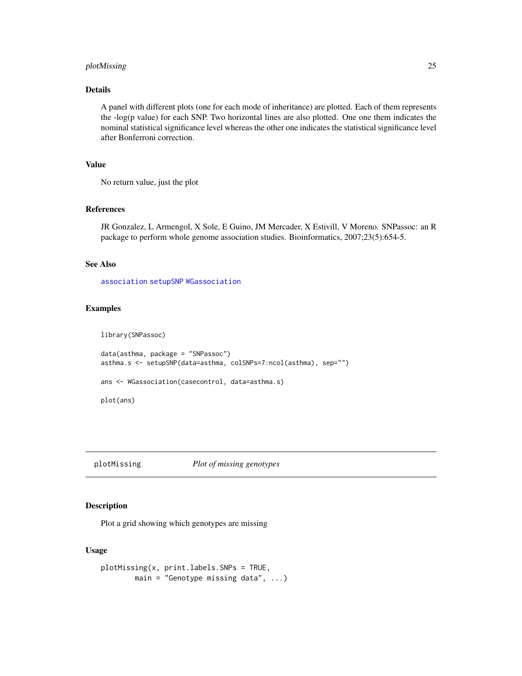## <span id="page-24-0"></span>plotMissing 25

## Details

A panel with different plots (one for each mode of inheritance) are plotted. Each of them represents the -log(p value) for each SNP. Two horizontal lines are also plotted. One one them indicates the nominal statistical significance level whereas the other one indicates the statistical significance level after Bonferroni correction.

## Value

No return value, just the plot

#### References

JR Gonzalez, L Armengol, X Sole, E Guino, JM Mercader, X Estivill, V Moreno. SNPassoc: an R package to perform whole genome association studies. Bioinformatics, 2007;23(5):654-5.

## See Also

[association](#page-1-1) [setupSNP](#page-28-1) [WGassociation](#page-37-1)

## Examples

library(SNPassoc)

```
data(asthma, package = "SNPassoc")
asthma.s <- setupSNP(data=asthma, colSNPs=7:ncol(asthma), sep="")
ans <- WGassociation(casecontrol, data=asthma.s)
```
plot(ans)

plotMissing *Plot of missing genotypes*

#### Description

Plot a grid showing which genotypes are missing

#### Usage

```
plotMissing(x, print.labels.SNPs = TRUE,
       main = "Genotype missing data", ...)
```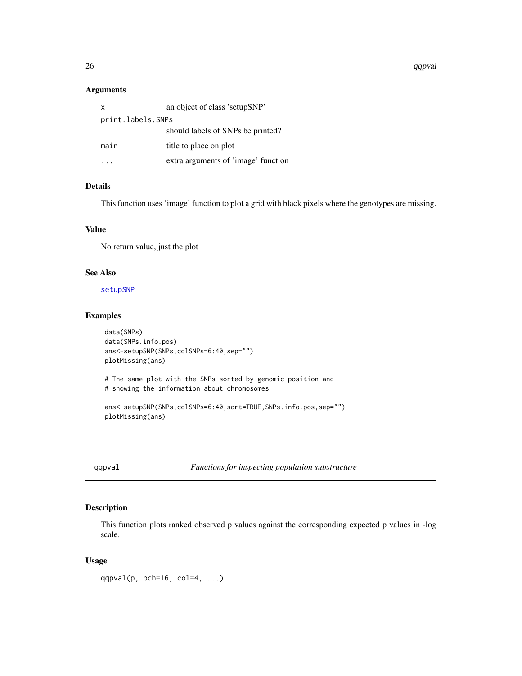<span id="page-25-0"></span>26 qqpval

## Arguments

| X                 | an object of class 'setupSNP'       |
|-------------------|-------------------------------------|
| print.labels.SNPs |                                     |
|                   | should labels of SNPs be printed?   |
| main              | title to place on plot              |
|                   | extra arguments of 'image' function |

## Details

This function uses 'image' function to plot a grid with black pixels where the genotypes are missing.

## Value

No return value, just the plot

## See Also

[setupSNP](#page-28-1)

## Examples

```
data(SNPs)
data(SNPs.info.pos)
ans<-setupSNP(SNPs,colSNPs=6:40,sep="")
plotMissing(ans)
# The same plot with the SNPs sorted by genomic position and
# showing the information about chromosomes
ans<-setupSNP(SNPs,colSNPs=6:40,sort=TRUE,SNPs.info.pos,sep="")
plotMissing(ans)
```
<span id="page-25-1"></span>qqpval *Functions for inspecting population substructure*

## Description

This function plots ranked observed p values against the corresponding expected p values in -log scale.

## Usage

qqpval(p, pch=16, col=4,  $\dots$ )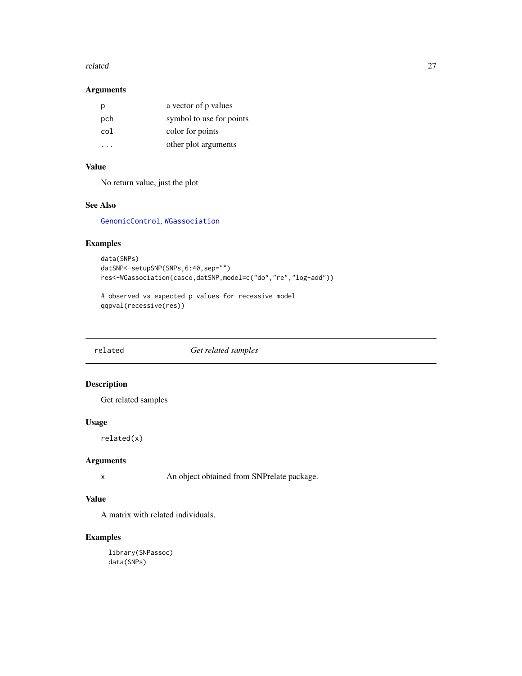#### <span id="page-26-0"></span>related 27

## Arguments

| р                    | a vector of p values     |
|----------------------|--------------------------|
| pch                  | symbol to use for points |
| col                  | color for points         |
| $\ddot{\phantom{0}}$ | other plot arguments     |

## Value

No return value, just the plot

## See Also

[GenomicControl](#page-7-1), [WGassociation](#page-37-1)

## Examples

```
data(SNPs)
datSNP<-setupSNP(SNPs,6:40,sep="")
res<-WGassociation(casco,datSNP,model=c("do","re","log-add"))
```
# observed vs expected p values for recessive model qqpval(recessive(res))

related *Get related samples*

## Description

Get related samples

## Usage

related(x)

## Arguments

x An object obtained from SNPrelate package.

## Value

A matrix with related individuals.

## Examples

library(SNPassoc) data(SNPs)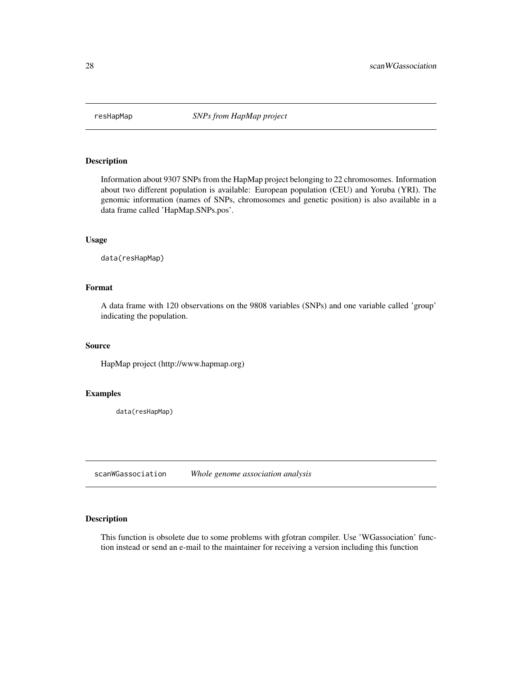<span id="page-27-0"></span>

Information about 9307 SNPs from the HapMap project belonging to 22 chromosomes. Information about two different population is available: European population (CEU) and Yoruba (YRI). The genomic information (names of SNPs, chromosomes and genetic position) is also available in a data frame called 'HapMap.SNPs.pos'.

#### Usage

data(resHapMap)

## Format

A data frame with 120 observations on the 9808 variables (SNPs) and one variable called 'group' indicating the population.

## Source

HapMap project (http://www.hapmap.org)

## Examples

data(resHapMap)

<span id="page-27-1"></span>scanWGassociation *Whole genome association analysis*

## Description

This function is obsolete due to some problems with gfotran compiler. Use 'WGassociation' function instead or send an e-mail to the maintainer for receiving a version including this function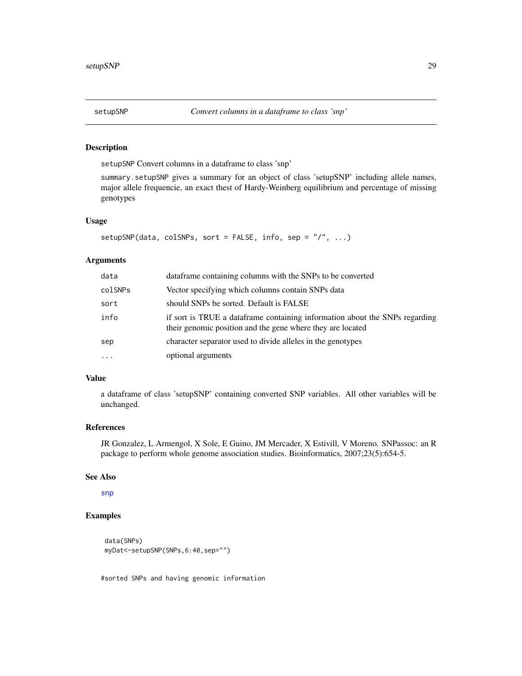<span id="page-28-1"></span><span id="page-28-0"></span>

setupSNP Convert columns in a dataframe to class 'snp'

summary.setupSNP gives a summary for an object of class 'setupSNP' including allele names, major allele frequencie, an exact thest of Hardy-Weinberg equilibrium and percentage of missing genotypes

#### Usage

```
setupSNP(data, colSNPs, sort = FALSE, info, sep = "/", ...)
```
#### Arguments

| data     | dataframe containing columns with the SNPs to be converted                                                                                |
|----------|-------------------------------------------------------------------------------------------------------------------------------------------|
| colSNPs  | Vector specifying which columns contain SNPs data                                                                                         |
| sort     | should SNPs be sorted. Default is FALSE                                                                                                   |
| info     | if sort is TRUE a dataframe containing information about the SNPs regarding<br>their genomic position and the gene where they are located |
| sep      | character separator used to divide alleles in the genotypes                                                                               |
| $\cdots$ | optional arguments                                                                                                                        |

#### Value

a dataframe of class 'setupSNP' containing converted SNP variables. All other variables will be unchanged.

#### References

JR Gonzalez, L Armengol, X Sole, E Guino, JM Mercader, X Estivill, V Moreno. SNPassoc: an R package to perform whole genome association studies. Bioinformatics, 2007;23(5):654-5.

#### See Also

[snp](#page-29-1)

## Examples

```
data(SNPs)
myDat<-setupSNP(SNPs,6:40,sep="")
```
#sorted SNPs and having genomic information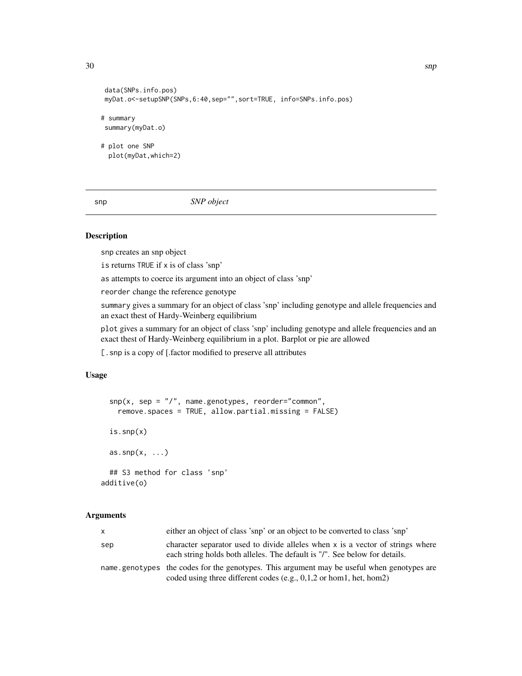```
data(SNPs.info.pos)
myDat.o<-setupSNP(SNPs,6:40,sep="",sort=TRUE, info=SNPs.info.pos)
# summary
summary(myDat.o)
# plot one SNP
 plot(myDat,which=2)
```
<span id="page-29-1"></span>snp *SNP object*

#### Description

snp creates an snp object

is returns TRUE if x is of class 'snp'

as attempts to coerce its argument into an object of class 'snp'

reorder change the reference genotype

summary gives a summary for an object of class 'snp' including genotype and allele frequencies and an exact thest of Hardy-Weinberg equilibrium

plot gives a summary for an object of class 'snp' including genotype and allele frequencies and an exact thest of Hardy-Weinberg equilibrium in a plot. Barplot or pie are allowed

[.snp is a copy of [.factor modified to preserve all attributes

## Usage

```
\text{sup}(x, \text{ sep} = "\\}', name.genotypes, reorder="common",
    remove.spaces = TRUE, allow.partial.missing = FALSE)
  is.snp(x)
  as.\sup(x, \ldots)## S3 method for class 'snp'
additive(o)
```
#### Arguments

| X   | either an object of class 'snp' or an object to be converted to class 'snp'                                                                                          |
|-----|----------------------------------------------------------------------------------------------------------------------------------------------------------------------|
| sep | character separator used to divide alleles when x is a vector of strings where<br>each string holds both alleles. The default is "/". See below for details.         |
|     | name.genotypes the codes for the genotypes. This argument may be useful when genotypes are<br>coded using three different codes (e.g., $0,1,2$ or hom 1, het, hom 2) |

<span id="page-29-0"></span>30 snp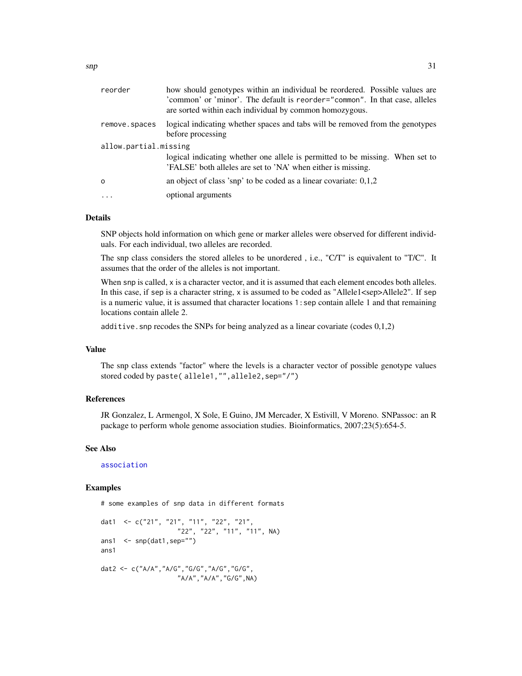<span id="page-30-0"></span>

| reorder               | how should genotypes within an individual be reordered. Possible values are<br>'common' or 'minor'. The default is reorder="common". In that case, alleles<br>are sorted within each individual by common homozygous. |  |
|-----------------------|-----------------------------------------------------------------------------------------------------------------------------------------------------------------------------------------------------------------------|--|
| remove.spaces         | logical indicating whether spaces and tabs will be removed from the genotypes<br>before processing                                                                                                                    |  |
| allow.partial.missing |                                                                                                                                                                                                                       |  |
|                       | logical indicating whether one allele is permitted to be missing. When set to<br>'FALSE' both alleles are set to 'NA' when either is missing.                                                                         |  |
| $\Omega$              | an object of class 'snp' to be coded as a linear covariate: $0,1,2$                                                                                                                                                   |  |
|                       | optional arguments                                                                                                                                                                                                    |  |

#### Details

SNP objects hold information on which gene or marker alleles were observed for different individuals. For each individual, two alleles are recorded.

The snp class considers the stored alleles to be unordered , i.e., "C/T" is equivalent to "T/C". It assumes that the order of the alleles is not important.

When snp is called, x is a character vector, and it is assumed that each element encodes both alleles. In this case, if sep is a character string, x is assumed to be coded as "Allele1<sep>Allele2". If sep is a numeric value, it is assumed that character locations 1:sep contain allele 1 and that remaining locations contain allele 2.

additive. snp recodes the SNPs for being analyzed as a linear covariate (codes  $0,1,2$ )

#### Value

The snp class extends "factor" where the levels is a character vector of possible genotype values stored coded by paste( allele1,"",allele2,sep="/")

## References

JR Gonzalez, L Armengol, X Sole, E Guino, JM Mercader, X Estivill, V Moreno. SNPassoc: an R package to perform whole genome association studies. Bioinformatics, 2007;23(5):654-5.

#### See Also

[association](#page-1-1)

#### Examples

# some examples of snp data in different formats dat1 <- c("21", "21", "11", "22", "21", "22", "22", "11", "11", NA) ans1 <- snp(dat1,sep="") ans1 dat2 <- c("A/A","A/G","G/G","A/G","G/G", "A/A","A/A","G/G",NA)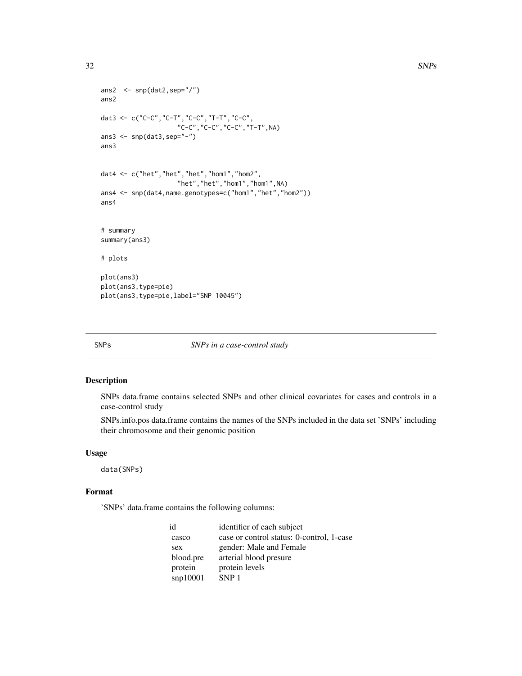```
ans2 \leftarrow snp(dat2, sep="/")
ans2
dat3 <- c("C-C","C-T","C-C","T-T","C-C",
                     "C-C","C-C","C-C","T-T",NA)
ans3 <- snp(dat3,sep="-")
ans3
dat4 <- c("het","het","het","hom1","hom2",
                     "het","het","hom1","hom1",NA)
ans4 <- snp(dat4,name.genotypes=c("hom1","het","hom2"))
ans4
# summary
summary(ans3)
# plots
plot(ans3)
plot(ans3,type=pie)
plot(ans3,type=pie,label="SNP 10045")
```
#### SNPs *SNPs in a case-control study*

## Description

SNPs data.frame contains selected SNPs and other clinical covariates for cases and controls in a case-control study

SNPs.info.pos data.frame contains the names of the SNPs included in the data set 'SNPs' including their chromosome and their genomic position

#### Usage

data(SNPs)

## Format

'SNPs' data.frame contains the following columns:

| id        | identifier of each subject                |
|-----------|-------------------------------------------|
| casco     | case or control status: 0-control, 1-case |
| sex       | gender: Male and Female                   |
| blood.pre | arterial blood presure                    |
| protein   | protein levels                            |
| sup10001  | SNP <sub>1</sub>                          |

<span id="page-31-0"></span>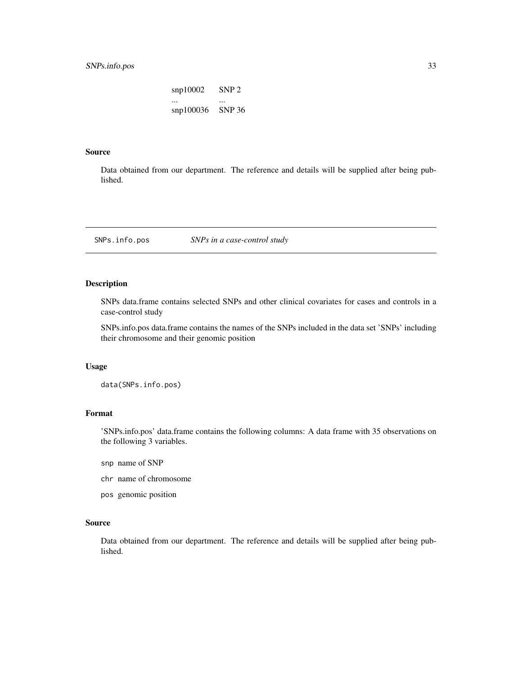## <span id="page-32-0"></span>SNPs.info.pos 33

snp10002 SNP 2 ... ... snp100036 SNP 36

## Source

Data obtained from our department. The reference and details will be supplied after being published.

SNPs.info.pos *SNPs in a case-control study*

#### Description

SNPs data.frame contains selected SNPs and other clinical covariates for cases and controls in a case-control study

SNPs.info.pos data.frame contains the names of the SNPs included in the data set 'SNPs' including their chromosome and their genomic position

## Usage

data(SNPs.info.pos)

## Format

'SNPs.info.pos' data.frame contains the following columns: A data frame with 35 observations on the following 3 variables.

- snp name of SNP
- chr name of chromosome
- pos genomic position

#### Source

Data obtained from our department. The reference and details will be supplied after being published.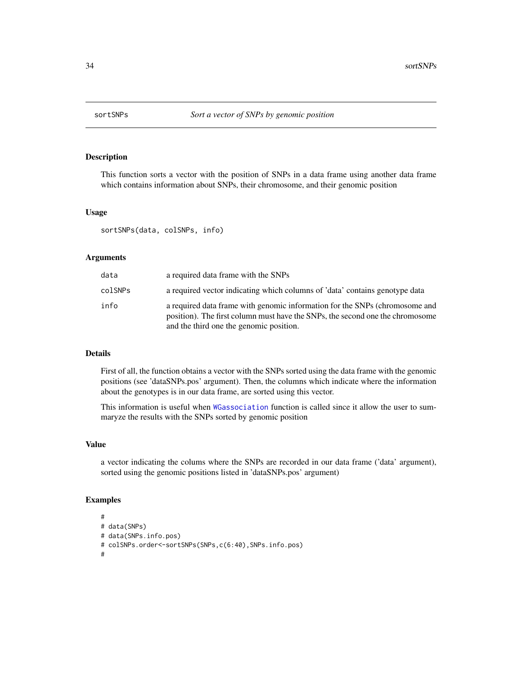<span id="page-33-0"></span>

This function sorts a vector with the position of SNPs in a data frame using another data frame which contains information about SNPs, their chromosome, and their genomic position

#### Usage

sortSNPs(data, colSNPs, info)

#### Arguments

| data    | a required data frame with the SNPs                                                                                                                                                                     |
|---------|---------------------------------------------------------------------------------------------------------------------------------------------------------------------------------------------------------|
| colSNPs | a required vector indicating which columns of 'data' contains genotype data                                                                                                                             |
| info    | a required data frame with genomic information for the SNPs (chromosome and<br>position). The first column must have the SNPs, the second one the chromosome<br>and the third one the genomic position. |

#### Details

First of all, the function obtains a vector with the SNPs sorted using the data frame with the genomic positions (see 'dataSNPs.pos' argument). Then, the columns which indicate where the information about the genotypes is in our data frame, are sorted using this vector.

This information is useful when [WGassociation](#page-37-1) function is called since it allow the user to summaryze the results with the SNPs sorted by genomic position

#### Value

a vector indicating the colums where the SNPs are recorded in our data frame ('data' argument), sorted using the genomic positions listed in 'dataSNPs.pos' argument)

#### Examples

```
#
# data(SNPs)
# data(SNPs.info.pos)
# colSNPs.order<-sortSNPs(SNPs,c(6:40),SNPs.info.pos)
#
```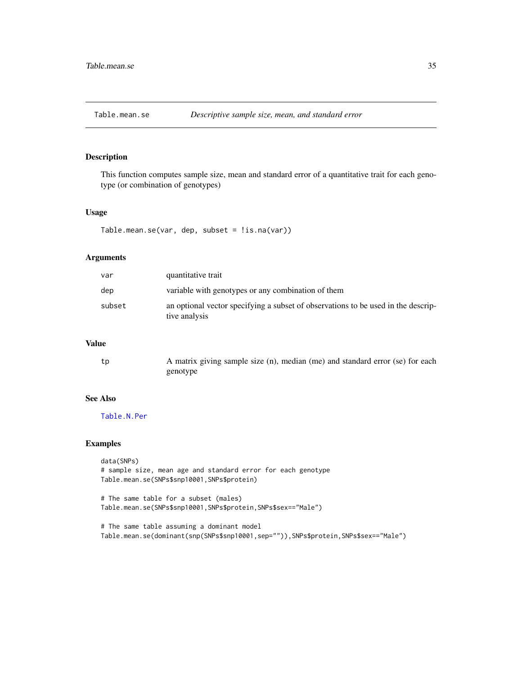<span id="page-34-1"></span><span id="page-34-0"></span>

This function computes sample size, mean and standard error of a quantitative trait for each genotype (or combination of genotypes)

#### Usage

Table.mean.se(var, dep, subset = !is.na(var))

#### Arguments

| var    | quantitative trait                                                                                 |
|--------|----------------------------------------------------------------------------------------------------|
| dep    | variable with genotypes or any combination of them                                                 |
| subset | an optional vector specifying a subset of observations to be used in the descrip-<br>tive analysis |

## Value

| tp | A matrix giving sample size (n), median (me) and standard error (se) for each |
|----|-------------------------------------------------------------------------------|
|    | genotype                                                                      |

#### See Also

[Table.N.Per](#page-35-1)

#### Examples

```
data(SNPs)
# sample size, mean age and standard error for each genotype
Table.mean.se(SNPs$snp10001,SNPs$protein)
# The same table for a subset (males)
Table.mean.se(SNPs$snp10001,SNPs$protein,SNPs$sex=="Male")
# The same table assuming a dominant model
```
Table.mean.se(dominant(snp(SNPs\$snp10001,sep="")),SNPs\$protein,SNPs\$sex=="Male")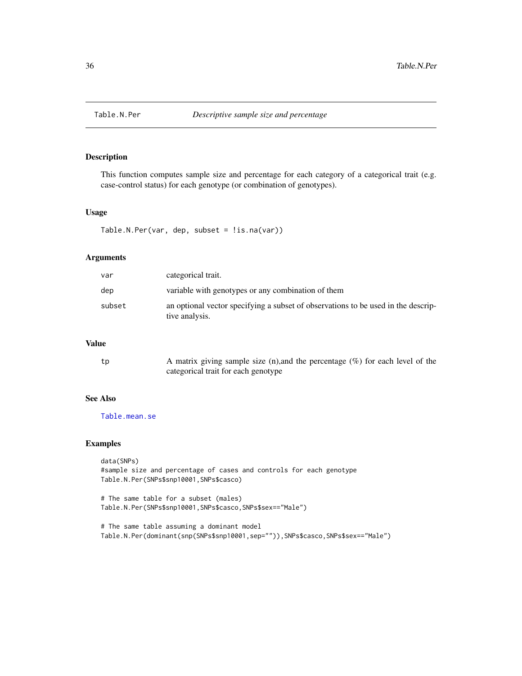<span id="page-35-1"></span><span id="page-35-0"></span>

This function computes sample size and percentage for each category of a categorical trait (e.g. case-control status) for each genotype (or combination of genotypes).

## Usage

```
Table.N.Per(var, dep, subset = !is.na(var))
```
#### Arguments

| var    | categorical trait.                                                                                  |
|--------|-----------------------------------------------------------------------------------------------------|
| dep    | variable with genotypes or any combination of them                                                  |
| subset | an optional vector specifying a subset of observations to be used in the descrip-<br>tive analysis. |

## Value

| tp | A matrix giving sample size (n), and the percentage $(\%)$ for each level of the |
|----|----------------------------------------------------------------------------------|
|    | categorical trait for each genotype                                              |

#### See Also

[Table.mean.se](#page-34-1)

#### Examples

data(SNPs) #sample size and percentage of cases and controls for each genotype Table.N.Per(SNPs\$snp10001,SNPs\$casco)

# The same table for a subset (males) Table.N.Per(SNPs\$snp10001,SNPs\$casco,SNPs\$sex=="Male")

# The same table assuming a dominant model Table.N.Per(dominant(snp(SNPs\$snp10001,sep="")),SNPs\$casco,SNPs\$sex=="Male")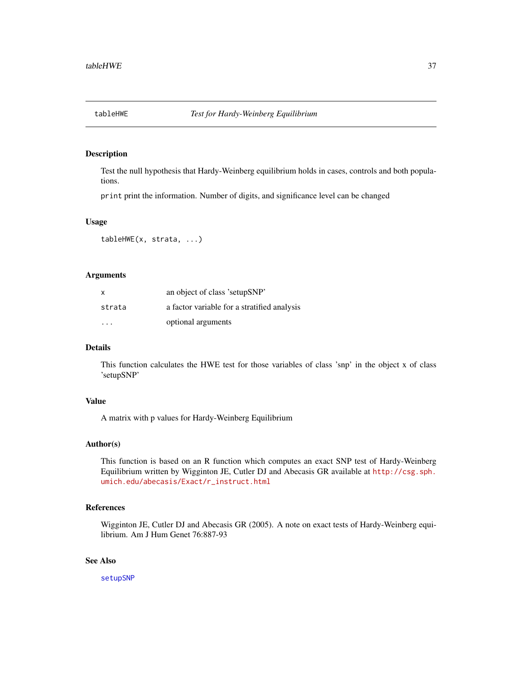<span id="page-36-0"></span>

Test the null hypothesis that Hardy-Weinberg equilibrium holds in cases, controls and both populations.

print print the information. Number of digits, and significance level can be changed

## Usage

tableHWE(x, strata, ...)

## Arguments

| X      | an object of class 'setupSNP'               |
|--------|---------------------------------------------|
| strata | a factor variable for a stratified analysis |
| .      | optional arguments                          |

## Details

This function calculates the HWE test for those variables of class 'snp' in the object x of class 'setupSNP'

#### Value

A matrix with p values for Hardy-Weinberg Equilibrium

#### Author(s)

This function is based on an R function which computes an exact SNP test of Hardy-Weinberg Equilibrium written by Wigginton JE, Cutler DJ and Abecasis GR available at [http://csg.sph.](http://csg.sph.umich.edu/abecasis/Exact/r_instruct.html) [umich.edu/abecasis/Exact/r\\_instruct.html](http://csg.sph.umich.edu/abecasis/Exact/r_instruct.html)

## References

Wigginton JE, Cutler DJ and Abecasis GR (2005). A note on exact tests of Hardy-Weinberg equilibrium. Am J Hum Genet 76:887-93

#### See Also

[setupSNP](#page-28-1)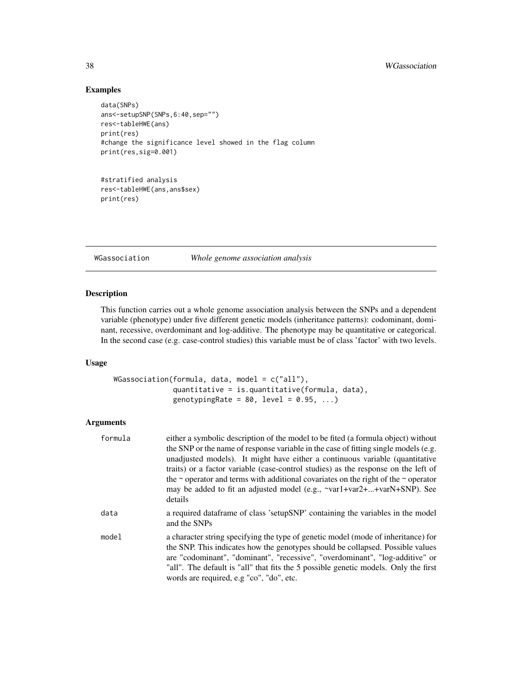## Examples

```
data(SNPs)
ans<-setupSNP(SNPs,6:40,sep="")
res<-tableHWE(ans)
print(res)
#change the significance level showed in the flag column
print(res,sig=0.001)
```

```
#stratified analysis
res<-tableHWE(ans,ans$sex)
print(res)
```
<span id="page-37-1"></span>WGassociation *Whole genome association analysis*

## <span id="page-37-2"></span>Description

This function carries out a whole genome association analysis between the SNPs and a dependent variable (phenotype) under five different genetic models (inheritance patterns): codominant, dominant, recessive, overdominant and log-additive. The phenotype may be quantitative or categorical. In the second case (e.g. case-control studies) this variable must be of class 'factor' with two levels.

## Usage

```
WGassociation(formula, data, model = c("all"),
              quantitative = is.quantitative(formula, data),
              genotypingRate = 80, level = 0.95, ...)
```
## Arguments

| formula | either a symbolic description of the model to be fited (a formula object) without<br>the SNP or the name of response variable in the case of fitting single models (e.g.<br>unadjusted models). It might have either a continuous variable (quantitative<br>traits) or a factor variable (case-control studies) as the response on the left of<br>the $\sim$ operator and terms with additional covariates on the right of the $\sim$ operator<br>may be added to fit an adjusted model (e.g., ~var1+var2++varN+SNP). See<br>details |
|---------|--------------------------------------------------------------------------------------------------------------------------------------------------------------------------------------------------------------------------------------------------------------------------------------------------------------------------------------------------------------------------------------------------------------------------------------------------------------------------------------------------------------------------------------|
| data    | a required data frame of class 'setup SNP' containing the variables in the model<br>and the SNPs                                                                                                                                                                                                                                                                                                                                                                                                                                     |
| model   | a character string specifying the type of genetic model (mode of inheritance) for<br>the SNP. This indicates how the genotypes should be collapsed. Possible values<br>are "codominant", "dominant", "recessive", "overdominant", "log-additive" or<br>"all". The default is "all" that fits the 5 possible genetic models. Only the first<br>words are required, e.g "co", "do", etc.                                                                                                                                               |

<span id="page-37-0"></span>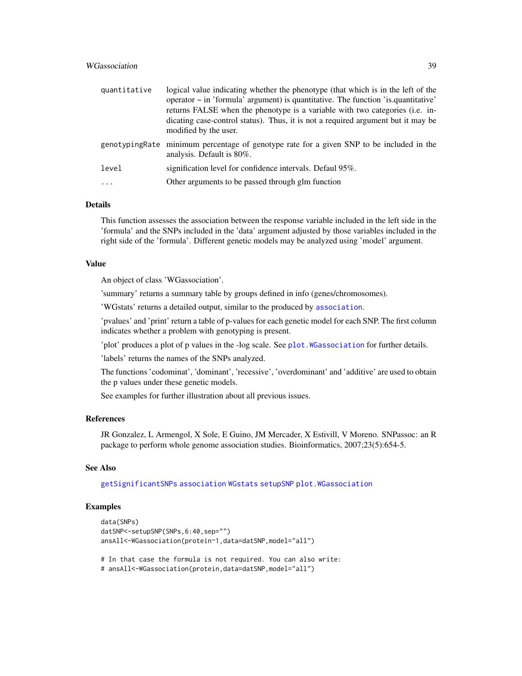## <span id="page-38-0"></span>WGassociation 39

| modified by the user.     | operator $\sim$ in 'formula' argument) is quantitative. The function 'is quantitative'<br>returns FALSE when the phenotype is a variable with two categories (i.e. in-<br>dicating case-control status). Thus, it is not a required argument but it may be |
|---------------------------|------------------------------------------------------------------------------------------------------------------------------------------------------------------------------------------------------------------------------------------------------------|
| analysis. Default is 80%. | genotypingRate minimum percentage of genotype rate for a given SNP to be included in the                                                                                                                                                                   |
| level                     | signification level for confidence intervals. Defaul 95%.                                                                                                                                                                                                  |
| $\cdot$                   | Other arguments to be passed through glm function                                                                                                                                                                                                          |

#### Details

This function assesses the association between the response variable included in the left side in the 'formula' and the SNPs included in the 'data' argument adjusted by those variables included in the right side of the 'formula'. Different genetic models may be analyzed using 'model' argument.

#### Value

An object of class 'WGassociation'.

'summary' returns a summary table by groups defined in info (genes/chromosomes).

'WGstats' returns a detailed output, similar to the produced by [association](#page-1-1).

'pvalues' and 'print' return a table of p-values for each genetic model for each SNP. The first column indicates whether a problem with genotyping is present.

'plot' produces a plot of p values in the -log scale. See [plot.WGassociation](#page-23-1) for further details.

'labels' returns the names of the SNPs analyzed.

The functions 'codominat', 'dominant', 'recessive', 'overdominant' and 'additive' are used to obtain the p values under these genetic models.

See examples for further illustration about all previous issues.

#### References

JR Gonzalez, L Armengol, X Sole, E Guino, JM Mercader, X Estivill, V Moreno. SNPassoc: an R package to perform whole genome association studies. Bioinformatics, 2007;23(5):654-5.

#### See Also

[getSignificantSNPs](#page-9-1) [association](#page-1-1) [WGstats](#page-37-2) [setupSNP](#page-28-1) [plot.WGassociation](#page-23-1)

#### Examples

```
data(SNPs)
datSNP<-setupSNP(SNPs,6:40,sep="")
ansAll<-WGassociation(protein~1,data=datSNP,model="all")
```
# In that case the formula is not required. You can also write:

```
# ansAll<-WGassociation(protein,data=datSNP,model="all")
```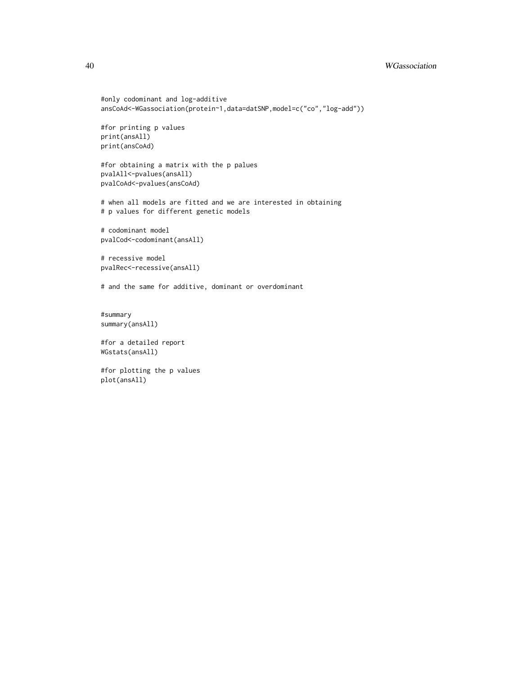#### 40 WGassociation

```
#only codominant and log-additive
ansCoAd<-WGassociation(protein~1,data=datSNP,model=c("co","log-add"))
#for printing p values
print(ansAll)
print(ansCoAd)
#for obtaining a matrix with the p palues
pvalAll<-pvalues(ansAll)
pvalCoAd<-pvalues(ansCoAd)
# when all models are fitted and we are interested in obtaining
# p values for different genetic models
# codominant model
pvalCod<-codominant(ansAll)
# recessive model
pvalRec<-recessive(ansAll)
# and the same for additive, dominant or overdominant
#summary
summary(ansAll)
#for a detailed report
```
WGstats(ansAll)

#for plotting the p values plot(ansAll)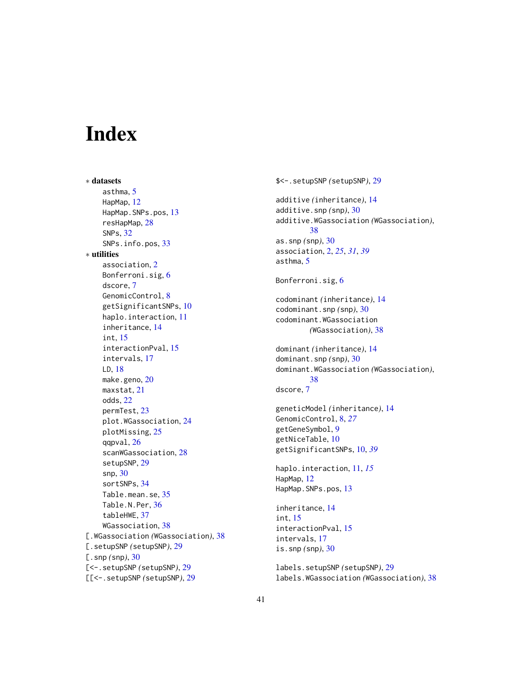# <span id="page-40-0"></span>**Index**

∗ datasets asthma, [5](#page-4-0) HapMap, [12](#page-11-0) HapMap.SNPs.pos, [13](#page-12-0) resHapMap, [28](#page-27-0) SNPs, [32](#page-31-0) SNPs.info.pos, [33](#page-32-0) ∗ utilities association, [2](#page-1-0) Bonferroni.sig, [6](#page-5-0) dscore, [7](#page-6-0) GenomicControl, [8](#page-7-0) getSignificantSNPs, [10](#page-9-0) haplo.interaction, [11](#page-10-0) inheritance, [14](#page-13-0) int, [15](#page-14-0) interactionPval, [15](#page-14-0) intervals, [17](#page-16-0) LD, [18](#page-17-0) make.geno, [20](#page-19-0) maxstat, [21](#page-20-0) odds, [22](#page-21-0) permTest, [23](#page-22-0) plot.WGassociation, [24](#page-23-0) plotMissing, [25](#page-24-0) qqpval, [26](#page-25-0) scanWGassociation, [28](#page-27-0) setupSNP, [29](#page-28-0) snp, [30](#page-29-0) sortSNPs, [34](#page-33-0) Table.mean.se, [35](#page-34-0) Table.N.Per, [36](#page-35-0) tableHWE, [37](#page-36-0) WGassociation, [38](#page-37-0) [.WGassociation *(*WGassociation*)*, [38](#page-37-0) [.setupSNP *(*setupSNP*)*, [29](#page-28-0) [.snp *(*snp*)*, [30](#page-29-0) [<-.setupSNP *(*setupSNP*)*, [29](#page-28-0) [[<-.setupSNP *(*setupSNP*)*, [29](#page-28-0)

\$<-.setupSNP *(*setupSNP*)*, [29](#page-28-0) additive *(*inheritance*)*, [14](#page-13-0) additive.snp *(*snp*)*, [30](#page-29-0) additive.WGassociation *(*WGassociation*)*, [38](#page-37-0) as.snp *(*snp*)*, [30](#page-29-0) association, [2,](#page-1-0) *[25](#page-24-0)*, *[31](#page-30-0)*, *[39](#page-38-0)* asthma, [5](#page-4-0) Bonferroni.sig, [6](#page-5-0) codominant *(*inheritance*)*, [14](#page-13-0) codominant.snp *(*snp*)*, [30](#page-29-0) codominant.WGassociation *(*WGassociation*)*, [38](#page-37-0) dominant *(*inheritance*)*, [14](#page-13-0) dominant.snp *(*snp*)*, [30](#page-29-0) dominant.WGassociation *(*WGassociation*)*, [38](#page-37-0) dscore, [7](#page-6-0) geneticModel *(*inheritance*)*, [14](#page-13-0) GenomicControl, [8,](#page-7-0) *[27](#page-26-0)* getGeneSymbol, [9](#page-8-0) getNiceTable, [10](#page-9-0) getSignificantSNPs, [10,](#page-9-0) *[39](#page-38-0)* haplo.interaction, [11,](#page-10-0) *[15](#page-14-0)* HapMap, [12](#page-11-0) HapMap.SNPs.pos, [13](#page-12-0) inheritance, [14](#page-13-0) int, [15](#page-14-0) interactionPval, [15](#page-14-0) intervals, [17](#page-16-0) is.snp *(*snp*)*, [30](#page-29-0) labels.setupSNP *(*setupSNP*)*, [29](#page-28-0) labels.WGassociation *(*WGassociation*)*, [38](#page-37-0)